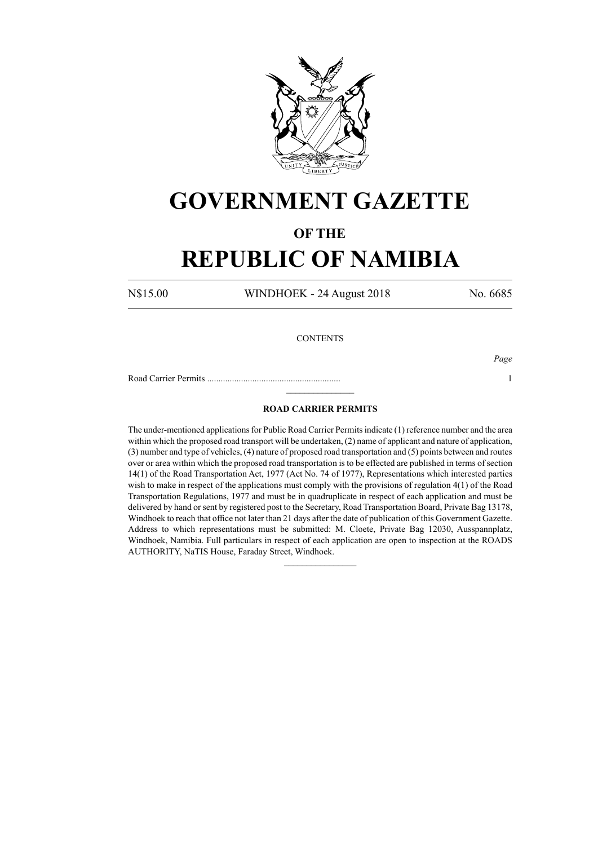

# **GOVERNMENT GAZETTE**

### **OF THE**

## **REPUBLIC OF NAMIBIA**

N\$15.00 WINDHOEK - 24 August 2018 No. 6685

### **CONTENTS**

Road Carrier Permits ........................................................... 1

*Page*

### **ROAD CARRIER PERMITS**

 $\frac{1}{2}$ 

The under-mentioned applications for Public Road Carrier Permits indicate (1) reference number and the area within which the proposed road transport will be undertaken, (2) name of applicant and nature of application, (3) number and type of vehicles, (4) nature of proposed road transportation and (5) points between and routes over or area within which the proposed road transportation is to be effected are published in terms of section 14(1) of the Road Transportation Act, 1977 (Act No. 74 of 1977), Representations which interested parties wish to make in respect of the applications must comply with the provisions of regulation 4(1) of the Road Transportation Regulations, 1977 and must be in quadruplicate in respect of each application and must be delivered by hand or sent by registered post to the Secretary, Road Transportation Board, Private Bag 13178, Windhoek to reach that office not later than 21 days after the date of publication of this Government Gazette. Address to which representations must be submitted: M. Cloete, Private Bag 12030, Ausspannplatz, Windhoek, Namibia. Full particulars in respect of each application are open to inspection at the ROADS AUTHORITY, NaTIS House, Faraday Street, Windhoek.

 $\frac{1}{2}$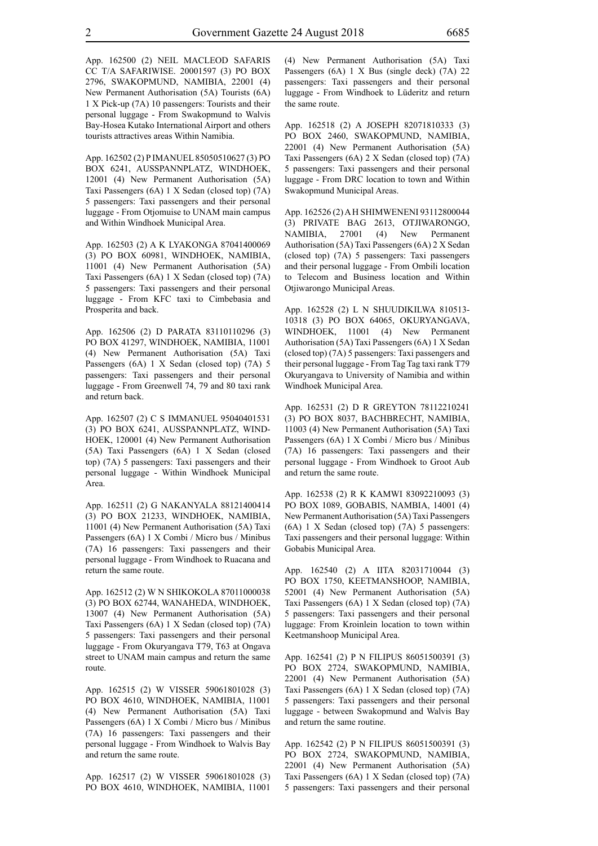App. 162500 (2) NEIL MACLEOD SAFARIS CC T/A SAFARIWISE. 20001597 (3) PO BOX 2796, SWAKOPMUND, NAMIBIA, 22001 (4) New Permanent Authorisation (5A) Tourists (6A) 1 X Pick-up (7A) 10 passengers: Tourists and their personal luggage - From Swakopmund to Walvis Bay-Hosea Kutako International Airport and others tourists attractives areas Within Namibia.

App. 162502 (2) P IMANUEL 85050510627 (3) PO BOX 6241, AUSSPANNPLATZ, WINDHOEK, 12001 (4) New Permanent Authorisation (5A) Taxi Passengers (6A) 1 X Sedan (closed top) (7A) 5 passengers: Taxi passengers and their personal luggage - From Otjomuise to UNAM main campus and Within Windhoek Municipal Area.

App. 162503 (2) A K LYAKONGA 87041400069 (3) PO BOX 60981, WINDHOEK, NAMIBIA, 11001 (4) New Permanent Authorisation (5A) Taxi Passengers (6A) 1 X Sedan (closed top) (7A) 5 passengers: Taxi passengers and their personal luggage - From KFC taxi to Cimbebasia and Prosperita and back.

App. 162506 (2) D PARATA 83110110296 (3) PO BOX 41297, WINDHOEK, NAMIBIA, 11001 (4) New Permanent Authorisation (5A) Taxi Passengers (6A) 1 X Sedan (closed top) (7A) 5 passengers: Taxi passengers and their personal luggage - From Greenwell 74, 79 and 80 taxi rank and return back.

App. 162507 (2) C S IMMANUEL 95040401531 (3) PO BOX 6241, AUSSPANNPLATZ, WIND-HOEK, 120001 (4) New Permanent Authorisation (5A) Taxi Passengers (6A) 1 X Sedan (closed top) (7A) 5 passengers: Taxi passengers and their personal luggage - Within Windhoek Municipal Area.

App. 162511 (2) G NAKANYALA 88121400414 (3) PO BOX 21233, WINDHOEK, NAMIBIA, 11001 (4) New Permanent Authorisation (5A) Taxi Passengers (6A) 1 X Combi / Micro bus / Minibus (7A) 16 passengers: Taxi passengers and their personal luggage - From Windhoek to Ruacana and return the same route.

App. 162512 (2) W N SHIKOKOLA 87011000038 (3) PO BOX 62744, WANAHEDA, WINDHOEK, 13007 (4) New Permanent Authorisation (5A) Taxi Passengers (6A) 1 X Sedan (closed top) (7A) 5 passengers: Taxi passengers and their personal luggage - From Okuryangava T79, T63 at Ongava street to UNAM main campus and return the same route.

App. 162515 (2) W VISSER 59061801028 (3) PO BOX 4610, WINDHOEK, NAMIBIA, 11001 (4) New Permanent Authorisation (5A) Taxi Passengers (6A) 1 X Combi / Micro bus / Minibus (7A) 16 passengers: Taxi passengers and their personal luggage - From Windhoek to Walvis Bay and return the same route.

App. 162517 (2) W VISSER 59061801028 (3) PO BOX 4610, WINDHOEK, NAMIBIA, 11001 (4) New Permanent Authorisation (5A) Taxi Passengers (6A) 1 X Bus (single deck) (7A) 22 passengers: Taxi passengers and their personal luggage - From Windhoek to Lüderitz and return the same route.

App. 162518 (2) A JOSEPH 82071810333 (3) PO BOX 2460, SWAKOPMUND, NAMIBIA, 22001 (4) New Permanent Authorisation (5A) Taxi Passengers (6A) 2 X Sedan (closed top) (7A) 5 passengers: Taxi passengers and their personal luggage - From DRC location to town and Within Swakopmund Municipal Areas.

App. 162526 (2) A H SHIMWENENI 93112800044 (3) PRIVATE BAG 2613, OTJIWARONGO, NAMIBIA, 27001 (4) New Permanent Authorisation (5A) Taxi Passengers (6A) 2 X Sedan (closed top) (7A) 5 passengers: Taxi passengers and their personal luggage - From Ombili location to Telecom and Business location and Within Otjiwarongo Municipal Areas.

App. 162528 (2) L N SHUUDIKILWA 810513- 10318 (3) PO BOX 64065, OKURYANGAVA, WINDHOEK, 11001 (4) New Permanent Authorisation (5A) Taxi Passengers (6A) 1 X Sedan (closed top) (7A) 5 passengers: Taxi passengers and their personal luggage - From Tag Tag taxi rank T79 Okuryangava to University of Namibia and within Windhoek Municipal Area.

App. 162531 (2) D R GREYTON 78112210241 (3) PO BOX 8037, BACHBRECHT, NAMIBIA, 11003 (4) New Permanent Authorisation (5A) Taxi Passengers (6A) 1 X Combi / Micro bus / Minibus (7A) 16 passengers: Taxi passengers and their personal luggage - From Windhoek to Groot Aub and return the same route.

App. 162538 (2) R K KAMWI 83092210093 (3) PO BOX 1089, GOBABIS, NAMBIA, 14001 (4) New Permanent Authorisation (5A) Taxi Passengers (6A) 1 X Sedan (closed top) (7A) 5 passengers: Taxi passengers and their personal luggage: Within Gobabis Municipal Area.

App. 162540 (2) A IITA 82031710044 (3) PO BOX 1750, KEETMANSHOOP, NAMIBIA, 52001 (4) New Permanent Authorisation (5A) Taxi Passengers (6A) 1 X Sedan (closed top) (7A) 5 passengers: Taxi passengers and their personal luggage: From Kroinlein location to town within Keetmanshoop Municipal Area.

App. 162541 (2) P N FILIPUS 86051500391 (3) PO BOX 2724, SWAKOPMUND, NAMIBIA, 22001 (4) New Permanent Authorisation (5A) Taxi Passengers (6A) 1 X Sedan (closed top) (7A) 5 passengers: Taxi passengers and their personal luggage - between Swakopmund and Walvis Bay and return the same routine.

App. 162542 (2) P N FILIPUS 86051500391 (3) PO BOX 2724, SWAKOPMUND, NAMIBIA, 22001 (4) New Permanent Authorisation (5A) Taxi Passengers (6A) 1 X Sedan (closed top) (7A) 5 passengers: Taxi passengers and their personal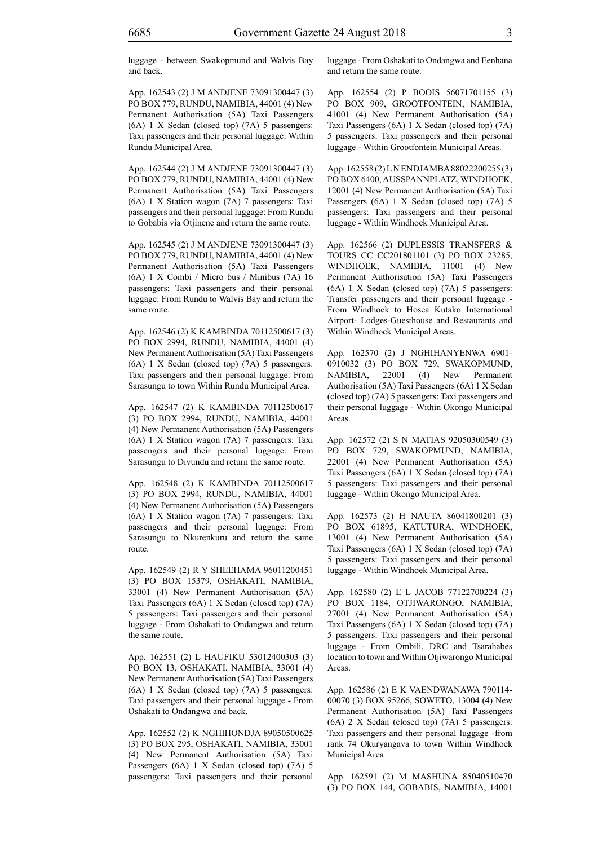luggage - between Swakopmund and Walvis Bay and back.

App. 162543 (2) J M ANDJENE 73091300447 (3) PO BOX 779, RUNDU, NAMIBIA, 44001 (4) New Permanent Authorisation (5A) Taxi Passengers (6A) 1 X Sedan (closed top) (7A) 5 passengers: Taxi passengers and their personal luggage: Within Rundu Municipal Area.

App. 162544 (2) J M ANDJENE 73091300447 (3) PO BOX 779, RUNDU, NAMIBIA, 44001 (4) New Permanent Authorisation (5A) Taxi Passengers (6A) 1 X Station wagon (7A) 7 passengers: Taxi passengers and their personal luggage: From Rundu to Gobabis via Otjinene and return the same route.

App. 162545 (2) J M ANDJENE 73091300447 (3) PO BOX 779, RUNDU, NAMIBIA, 44001 (4) New Permanent Authorisation (5A) Taxi Passengers (6A) 1 X Combi / Micro bus / Minibus (7A) 16 passengers: Taxi passengers and their personal luggage: From Rundu to Walvis Bay and return the same route.

App. 162546 (2) K KAMBINDA 70112500617 (3) PO BOX 2994, RUNDU, NAMIBIA, 44001 (4) New Permanent Authorisation (5A) Taxi Passengers (6A) 1 X Sedan (closed top) (7A) 5 passengers: Taxi passengers and their personal luggage: From Sarasungu to town Within Rundu Municipal Area.

App. 162547 (2) K KAMBINDA 70112500617 (3) PO BOX 2994, RUNDU, NAMIBIA, 44001 (4) New Permanent Authorisation (5A) Passengers (6A) 1 X Station wagon (7A) 7 passengers: Taxi passengers and their personal luggage: From Sarasungu to Divundu and return the same route.

App. 162548 (2) K KAMBINDA 70112500617 (3) PO BOX 2994, RUNDU, NAMIBIA, 44001 (4) New Permanent Authorisation (5A) Passengers (6A) 1 X Station wagon (7A) 7 passengers: Taxi passengers and their personal luggage: From Sarasungu to Nkurenkuru and return the same route.

App. 162549 (2) R Y SHEEHAMA 96011200451 (3) PO BOX 15379, OSHAKATI, NAMIBIA, 33001 (4) New Permanent Authorisation (5A) Taxi Passengers (6A) 1 X Sedan (closed top) (7A) 5 passengers: Taxi passengers and their personal luggage - From Oshakati to Ondangwa and return the same route.

App. 162551 (2) L HAUFIKU 53012400303 (3) PO BOX 13, OSHAKATI, NAMIBIA, 33001 (4) New Permanent Authorisation (5A) Taxi Passengers (6A) 1 X Sedan (closed top) (7A) 5 passengers: Taxi passengers and their personal luggage - From Oshakati to Ondangwa and back.

App. 162552 (2) K NGHIHONDJA 89050500625 (3) PO BOX 295, OSHAKATI, NAMIBIA, 33001 (4) New Permanent Authorisation (5A) Taxi Passengers (6A) 1 X Sedan (closed top) (7A) 5 passengers: Taxi passengers and their personal luggage - From Oshakati to Ondangwa and Eenhana and return the same route.

App. 162554 (2) P BOOIS 56071701155 (3) PO BOX 909, GROOTFONTEIN, NAMIBIA, 41001 (4) New Permanent Authorisation (5A) Taxi Passengers (6A) 1 X Sedan (closed top) (7A) 5 passengers: Taxi passengers and their personal luggage - Within Grootfontein Municipal Areas.

App. 162558 (2) L N ENDJAMBA 88022200255 (3) PO BOX 6400, AUSSPANNPLATZ, WINDHOEK, 12001 (4) New Permanent Authorisation (5A) Taxi Passengers (6A) 1 X Sedan (closed top) (7A) 5 passengers: Taxi passengers and their personal luggage - Within Windhoek Municipal Area.

App. 162566 (2) DUPLESSIS TRANSFERS & TOURS CC CC201801101 (3) PO BOX 23285, WINDHOEK, NAMIBIA, 11001 (4) New Permanent Authorisation (5A) Taxi Passengers (6A) 1 X Sedan (closed top) (7A) 5 passengers: Transfer passengers and their personal luggage - From Windhoek to Hosea Kutako International Airport- Lodges-Guesthouse and Restaurants and Within Windhoek Municipal Areas.

App. 162570 (2) J NGHIHANYENWA 6901- 0910032 (3) PO BOX 729, SWAKOPMUND, NAMIBIA, 22001 (4) New Permanent Authorisation (5A) Taxi Passengers (6A) 1 X Sedan (closed top) (7A) 5 passengers: Taxi passengers and their personal luggage - Within Okongo Municipal Areas.

App. 162572 (2) S N MATIAS 92050300549 (3) PO BOX 729, SWAKOPMUND, NAMIBIA, 22001 (4) New Permanent Authorisation (5A) Taxi Passengers (6A) 1 X Sedan (closed top) (7A) 5 passengers: Taxi passengers and their personal luggage - Within Okongo Municipal Area.

App. 162573 (2) H NAUTA 86041800201 (3) PO BOX 61895, KATUTURA, WINDHOEK, 13001 (4) New Permanent Authorisation (5A) Taxi Passengers (6A) 1 X Sedan (closed top) (7A) 5 passengers: Taxi passengers and their personal luggage - Within Windhoek Municipal Area.

App. 162580 (2) E L JACOB 77122700224 (3) PO BOX 1184, OTJIWARONGO, NAMIBIA, 27001 (4) New Permanent Authorisation (5A) Taxi Passengers (6A) 1 X Sedan (closed top) (7A) 5 passengers: Taxi passengers and their personal luggage - From Ombili, DRC and Tsarahabes location to town and Within Otiiwarongo Municipal **Areas**.

App. 162586 (2) E K VAENDWANAWA 790114- 00070 (3) BOX 95266, SOWETO, 13004 (4) New Permanent Authorisation (5A) Taxi Passengers (6A) 2 X Sedan (closed top) (7A) 5 passengers: Taxi passengers and their personal luggage -from rank 74 Okuryangava to town Within Windhoek Municipal Area

App. 162591 (2) M MASHUNA 85040510470 (3) PO BOX 144, GOBABIS, NAMIBIA, 14001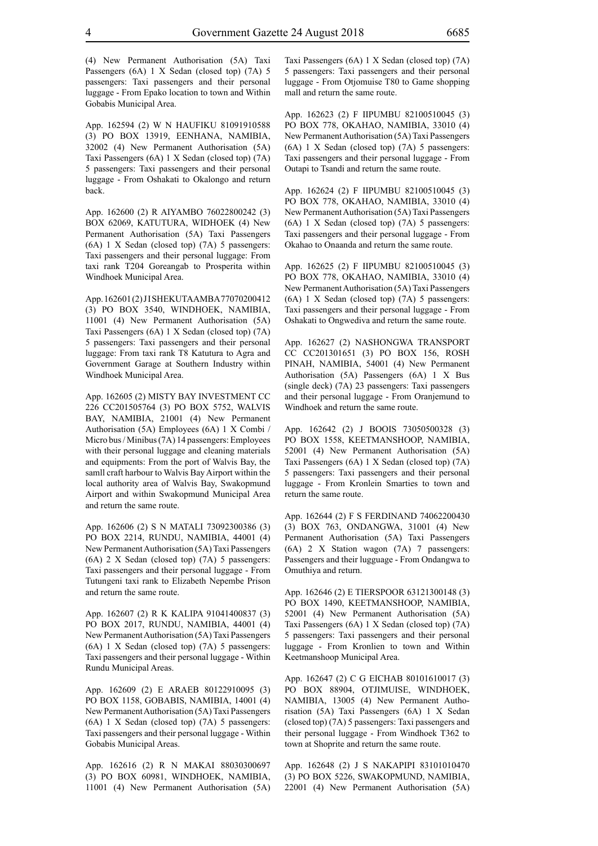(4) New Permanent Authorisation (5A) Taxi Passengers (6A) 1 X Sedan (closed top) (7A) 5 passengers: Taxi passengers and their personal luggage - From Epako location to town and Within Gobabis Municipal Area.

App. 162594 (2) W N HAUFIKU 81091910588 (3) PO BOX 13919, EENHANA, NAMIBIA, 32002 (4) New Permanent Authorisation (5A) Taxi Passengers (6A) 1 X Sedan (closed top) (7A) 5 passengers: Taxi passengers and their personal luggage - From Oshakati to Okalongo and return back.

App. 162600 (2) R AIYAMBO 76022800242 (3) BOX 62069, KATUTURA, WIDHOEK (4) New Permanent Authorisation (5A) Taxi Passengers (6A) 1 X Sedan (closed top) (7A) 5 passengers: Taxi passengers and their personal luggage: From taxi rank T204 Goreangab to Prosperita within Windhoek Municipal Area.

App. 162601(2) JISHEKUTAAMBA 77070200412 (3) PO BOX 3540, WINDHOEK, NAMIBIA, 11001 (4) New Permanent Authorisation (5A) Taxi Passengers (6A) 1 X Sedan (closed top) (7A) 5 passengers: Taxi passengers and their personal luggage: From taxi rank T8 Katutura to Agra and Government Garage at Southern Industry within Windhoek Municipal Area.

App. 162605 (2) MISTY BAY INVESTMENT CC 226 CC201505764 (3) PO BOX 5752, WALVIS BAY, NAMIBIA, 21001 (4) New Permanent Authorisation (5A) Employees (6A) 1 X Combi / Micro bus / Minibus (7A) 14 passengers: Employees with their personal luggage and cleaning materials and equipments: From the port of Walvis Bay, the samll craft harbour to Walvis Bay Airport within the local authority area of Walvis Bay, Swakopmund Airport and within Swakopmund Municipal Area and return the same route.

App. 162606 (2) S N MATALI 73092300386 (3) PO BOX 2214, RUNDU, NAMIBIA, 44001 (4) New Permanent Authorisation (5A) Taxi Passengers (6A) 2 X Sedan (closed top) (7A) 5 passengers: Taxi passengers and their personal luggage - From Tutungeni taxi rank to Elizabeth Nepembe Prison and return the same route.

App. 162607 (2) R K KALIPA 91041400837 (3) PO BOX 2017, RUNDU, NAMIBIA, 44001 (4) New Permanent Authorisation (5A) Taxi Passengers (6A) 1 X Sedan (closed top) (7A) 5 passengers: Taxi passengers and their personal luggage - Within Rundu Municipal Areas.

App. 162609 (2) E ARAEB 80122910095 (3) PO BOX 1158, GOBABIS, NAMIBIA, 14001 (4) New Permanent Authorisation (5A) Taxi Passengers (6A) 1 X Sedan (closed top) (7A) 5 passengers: Taxi passengers and their personal luggage - Within Gobabis Municipal Areas.

App. 162616 (2) R N MAKAI 88030300697 (3) PO BOX 60981, WINDHOEK, NAMIBIA, 11001 (4) New Permanent Authorisation (5A) Taxi Passengers (6A) 1 X Sedan (closed top) (7A) 5 passengers: Taxi passengers and their personal luggage - From Otjomuise T80 to Game shopping mall and return the same route.

App. 162623 (2) F IIPUMBU 82100510045 (3) PO BOX 778, OKAHAO, NAMIBIA, 33010 (4) New Permanent Authorisation (5A) Taxi Passengers (6A) 1 X Sedan (closed top) (7A) 5 passengers: Taxi passengers and their personal luggage - From Outapi to Tsandi and return the same route.

App. 162624 (2) F IIPUMBU 82100510045 (3) PO BOX 778, OKAHAO, NAMIBIA, 33010 (4) New Permanent Authorisation (5A) Taxi Passengers (6A) 1 X Sedan (closed top) (7A) 5 passengers: Taxi passengers and their personal luggage - From Okahao to Onaanda and return the same route.

App. 162625 (2) F IIPUMBU 82100510045 (3) PO BOX 778, OKAHAO, NAMIBIA, 33010 (4) New Permanent Authorisation (5A) Taxi Passengers (6A) 1 X Sedan (closed top) (7A) 5 passengers: Taxi passengers and their personal luggage - From Oshakati to Ongwediva and return the same route.

App. 162627 (2) NASHONGWA TRANSPORT CC CC201301651 (3) PO BOX 156, ROSH PINAH, NAMIBIA, 54001 (4) New Permanent Authorisation (5A) Passengers (6A) 1 X Bus (single deck) (7A) 23 passengers: Taxi passengers and their personal luggage - From Oranjemund to Windhoek and return the same route.

App. 162642 (2) J BOOIS 73050500328 (3) PO BOX 1558, KEETMANSHOOP, NAMIBIA, 52001 (4) New Permanent Authorisation (5A) Taxi Passengers (6A) 1 X Sedan (closed top) (7A) 5 passengers: Taxi passengers and their personal luggage - From Kronlein Smarties to town and return the same route.

App. 162644 (2) F S FERDINAND 74062200430 (3) BOX 763, ONDANGWA, 31001 (4) New Permanent Authorisation (5A) Taxi Passengers (6A) 2 X Station wagon (7A) 7 passengers: Passengers and their lugguage - From Ondangwa to Omuthiya and return.

App. 162646 (2) E TIERSPOOR 63121300148 (3) PO BOX 1490, KEETMANSHOOP, NAMIBIA, 52001 (4) New Permanent Authorisation (5A) Taxi Passengers (6A) 1 X Sedan (closed top) (7A) 5 passengers: Taxi passengers and their personal luggage - From Kronlien to town and Within Keetmanshoop Municipal Area.

App. 162647 (2) C G EICHAB 80101610017 (3) PO BOX 88904, OTJIMUISE, WINDHOEK, NAMIBIA, 13005 (4) New Permanent Authorisation (5A) Taxi Passengers (6A) 1 X Sedan (closed top) (7A) 5 passengers: Taxi passengers and their personal luggage - From Windhoek T362 to town at Shoprite and return the same route.

App. 162648 (2) J S NAKAPIPI 83101010470 (3) PO BOX 5226, SWAKOPMUND, NAMIBIA, 22001 (4) New Permanent Authorisation (5A)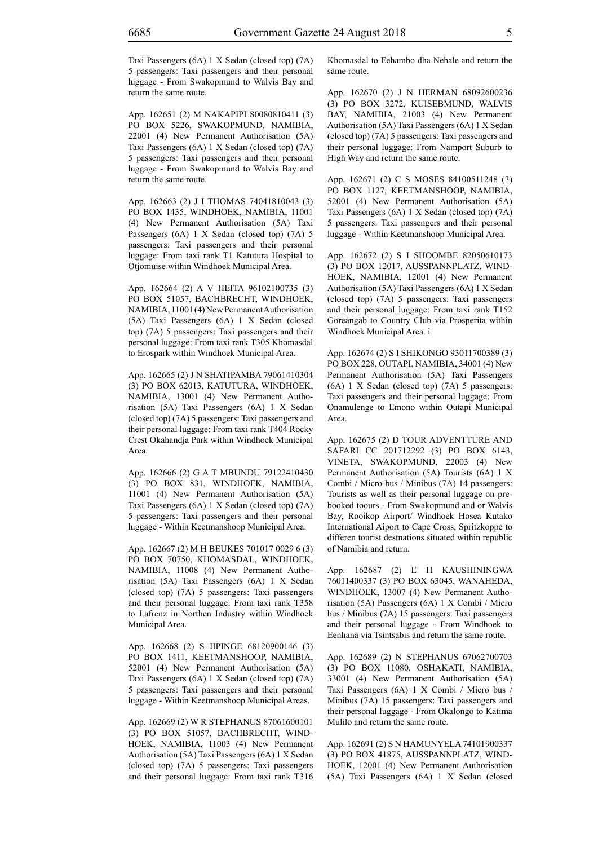Taxi Passengers (6A) 1 X Sedan (closed top) (7A) 5 passengers: Taxi passengers and their personal luggage - From Swakopmund to Walvis Bay and return the same route.

App. 162651 (2) M NAKAPIPI 80080810411 (3) PO BOX 5226, SWAKOPMUND, NAMIBIA, 22001 (4) New Permanent Authorisation (5A) Taxi Passengers (6A) 1 X Sedan (closed top) (7A) 5 passengers: Taxi passengers and their personal luggage - From Swakopmund to Walvis Bay and return the same route.

App. 162663 (2) J I THOMAS 74041810043 (3) PO BOX 1435, WINDHOEK, NAMIBIA, 11001 (4) New Permanent Authorisation (5A) Taxi Passengers (6A) 1 X Sedan (closed top) (7A) 5 passengers: Taxi passengers and their personal luggage: From taxi rank T1 Katutura Hospital to Otjomuise within Windhoek Municipal Area.

App. 162664 (2) A V HEITA 96102100735 (3) PO BOX 51057, BACHBRECHT, WINDHOEK, NAMIBIA, 11001 (4) New Permanent Authorisation (5A) Taxi Passengers (6A) 1 X Sedan (closed top) (7A) 5 passengers: Taxi passengers and their personal luggage: From taxi rank T305 Khomasdal to Erospark within Windhoek Municipal Area.

App. 162665 (2) J N SHATIPAMBA 79061410304 (3) PO BOX 62013, KATUTURA, WINDHOEK, NAMIBIA, 13001 (4) New Permanent Authorisation (5A) Taxi Passengers (6A) 1 X Sedan (closed top) (7A) 5 passengers: Taxi passengers and their personal luggage: From taxi rank T404 Rocky Crest Okahandja Park within Windhoek Municipal Area.

App. 162666 (2) G A T MBUNDU 79122410430 (3) PO BOX 831, WINDHOEK, NAMIBIA, 11001 (4) New Permanent Authorisation (5A) Taxi Passengers (6A) 1 X Sedan (closed top) (7A) 5 passengers: Taxi passengers and their personal luggage - Within Keetmanshoop Municipal Area.

App. 162667 (2) M H BEUKES 701017 0029 6 (3) PO BOX 70750, KHOMASDAL, WINDHOEK, NAMIBIA, 11008 (4) New Permanent Authorisation (5A) Taxi Passengers (6A) 1 X Sedan (closed top) (7A) 5 passengers: Taxi passengers and their personal luggage: From taxi rank T358 to Lafrenz in Northen Industry within Windhoek Municipal Area.

App. 162668 (2) S IIPINGE 68120900146 (3) PO BOX 1411, KEETMANSHOOP, NAMIBIA, 52001 (4) New Permanent Authorisation (5A) Taxi Passengers (6A) 1 X Sedan (closed top) (7A) 5 passengers: Taxi passengers and their personal luggage - Within Keetmanshoop Municipal Areas.

App. 162669 (2) W R STEPHANUS 87061600101 (3) PO BOX 51057, BACHBRECHT, WIND-HOEK, NAMIBIA, 11003 (4) New Permanent Authorisation (5A) Taxi Passengers (6A) 1 X Sedan (closed top) (7A) 5 passengers: Taxi passengers and their personal luggage: From taxi rank T316 Khomasdal to Eehambo dha Nehale and return the same route.

App. 162670 (2) J N HERMAN 68092600236 (3) PO BOX 3272, KUISEBMUND, WALVIS BAY, NAMIBIA, 21003 (4) New Permanent Authorisation (5A) Taxi Passengers (6A) 1 X Sedan (closed top) (7A) 5 passengers: Taxi passengers and their personal luggage: From Namport Suburb to High Way and return the same route.

App. 162671 (2) C S MOSES 84100511248 (3) PO BOX 1127, KEETMANSHOOP, NAMIBIA, 52001 (4) New Permanent Authorisation (5A) Taxi Passengers (6A) 1 X Sedan (closed top) (7A) 5 passengers: Taxi passengers and their personal luggage - Within Keetmanshoop Municipal Area.

App. 162672 (2) S I SHOOMBE 82050610173 (3) PO BOX 12017, AUSSPANNPLATZ, WIND-HOEK, NAMIBIA, 12001 (4) New Permanent Authorisation (5A) Taxi Passengers (6A) 1 X Sedan (closed top) (7A) 5 passengers: Taxi passengers and their personal luggage: From taxi rank T152 Goreangab to Country Club via Prosperita within Windhoek Municipal Area. i

App. 162674 (2) S I SHIKONGO 93011700389 (3) PO BOX 228, OUTAPI, NAMIBIA, 34001 (4) New Permanent Authorisation (5A) Taxi Passengers (6A) 1 X Sedan (closed top) (7A) 5 passengers: Taxi passengers and their personal luggage: From Onamulenge to Emono within Outapi Municipal Area.

App. 162675 (2) D TOUR ADVENTTURE AND SAFARI CC 201712292 (3) PO BOX 6143, VINETA, SWAKOPMUND, 22003 (4) New Permanent Authorisation (5A) Tourists (6A) 1 X Combi / Micro bus / Minibus (7A) 14 passengers: Tourists as well as their personal luggage on prebooked toours - From Swakopmund and or Walvis Bay, Rooikop Airport/ Windhoek Hosea Kutako International Aiport to Cape Cross, Spritzkoppe to differen tourist destnations situated within republic of Namibia and return.

App. 162687 (2) E H KAUSHININGWA 76011400337 (3) PO BOX 63045, WANAHEDA, WINDHOEK, 13007 (4) New Permanent Authorisation (5A) Passengers (6A) 1 X Combi / Micro bus / Minibus (7A) 15 passengers: Taxi passengers and their personal luggage - From Windhoek to Eenhana via Tsintsabis and return the same route.

App. 162689 (2) N STEPHANUS 67062700703 (3) PO BOX 11080, OSHAKATI, NAMIBIA, 33001 (4) New Permanent Authorisation (5A) Taxi Passengers (6A) 1 X Combi / Micro bus / Minibus (7A) 15 passengers: Taxi passengers and their personal luggage - From Okalongo to Katima Mulilo and return the same route.

App. 162691 (2) S N HAMUNYELA 74101900337 (3) PO BOX 41875, AUSSPANNPLATZ, WIND-HOEK, 12001 (4) New Permanent Authorisation (5A) Taxi Passengers (6A) 1 X Sedan (closed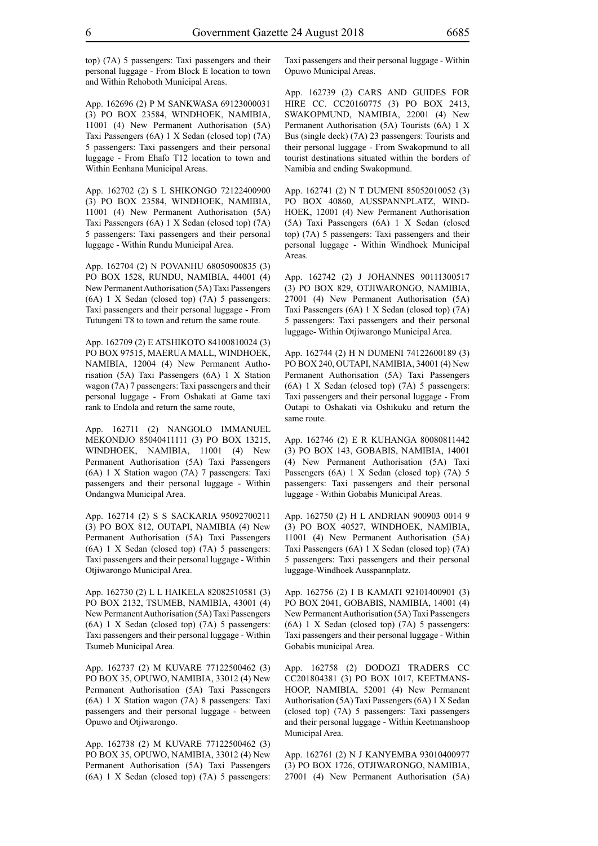top) (7A) 5 passengers: Taxi passengers and their personal luggage - From Block E location to town and Within Rehoboth Municipal Areas.

App. 162696 (2) P M SANKWASA 69123000031 (3) PO BOX 23584, WINDHOEK, NAMIBIA, 11001 (4) New Permanent Authorisation (5A) Taxi Passengers (6A) 1 X Sedan (closed top) (7A) 5 passengers: Taxi passengers and their personal luggage - From Ehafo T12 location to town and Within Eenhana Municipal Areas.

App. 162702 (2) S L SHIKONGO 72122400900 (3) PO BOX 23584, WINDHOEK, NAMIBIA, 11001 (4) New Permanent Authorisation (5A) Taxi Passengers (6A) 1 X Sedan (closed top) (7A) 5 passengers: Taxi passengers and their personal luggage - Within Rundu Municipal Area.

App. 162704 (2) N POVANHU 68050900835 (3) PO BOX 1528, RUNDU, NAMIBIA, 44001 (4) New Permanent Authorisation (5A) Taxi Passengers (6A) 1 X Sedan (closed top) (7A) 5 passengers: Taxi passengers and their personal luggage - From Tutungeni T8 to town and return the same route.

App. 162709 (2) E ATSHIKOTO 84100810024 (3) PO BOX 97515, MAERUA MALL, WINDHOEK, NAMIBIA, 12004 (4) New Permanent Authorisation (5A) Taxi Passengers (6A) 1 X Station wagon (7A) 7 passengers: Taxi passengers and their personal luggage - From Oshakati at Game taxi rank to Endola and return the same route,

App. 162711 (2) NANGOLO IMMANUEL MEKONDJO 85040411111 (3) PO BOX 13215, WINDHOEK, NAMIBIA, 11001 (4) New Permanent Authorisation (5A) Taxi Passengers (6A) 1 X Station wagon (7A) 7 passengers: Taxi passengers and their personal luggage - Within Ondangwa Municipal Area.

App. 162714 (2) S S SACKARIA 95092700211 (3) PO BOX 812, OUTAPI, NAMIBIA (4) New Permanent Authorisation (5A) Taxi Passengers (6A) 1 X Sedan (closed top) (7A) 5 passengers: Taxi passengers and their personal luggage - Within Otjiwarongo Municipal Area.

App. 162730 (2) L L HAIKELA 82082510581 (3) PO BOX 2132, TSUMEB, NAMIBIA, 43001 (4) New Permanent Authorisation (5A) Taxi Passengers (6A) 1 X Sedan (closed top) (7A) 5 passengers: Taxi passengers and their personal luggage - Within Tsumeb Municipal Area.

App. 162737 (2) M KUVARE 77122500462 (3) PO BOX 35, OPUWO, NAMIBIA, 33012 (4) New Permanent Authorisation (5A) Taxi Passengers (6A) 1 X Station wagon (7A) 8 passengers: Taxi passengers and their personal luggage - between Opuwo and Otjiwarongo.

App. 162738 (2) M KUVARE 77122500462 (3) PO BOX 35, OPUWO, NAMIBIA, 33012 (4) New Permanent Authorisation (5A) Taxi Passengers (6A) 1 X Sedan (closed top) (7A) 5 passengers: Taxi passengers and their personal luggage - Within Opuwo Municipal Areas.

App. 162739 (2) CARS AND GUIDES FOR HIRE CC. CC20160775 (3) PO BOX 2413, SWAKOPMUND, NAMIBIA, 22001 (4) New Permanent Authorisation (5A) Tourists (6A) 1 X Bus (single deck) (7A) 23 passengers: Tourists and their personal luggage - From Swakopmund to all tourist destinations situated within the borders of Namibia and ending Swakopmund.

App. 162741 (2) N T DUMENI 85052010052 (3) PO BOX 40860, AUSSPANNPLATZ, WIND-HOEK, 12001 (4) New Permanent Authorisation (5A) Taxi Passengers (6A) 1 X Sedan (closed top) (7A) 5 passengers: Taxi passengers and their personal luggage - Within Windhoek Municipal **Areas**.

App. 162742 (2) J JOHANNES 90111300517 (3) PO BOX 829, OTJIWARONGO, NAMIBIA, 27001 (4) New Permanent Authorisation (5A) Taxi Passengers (6A) 1 X Sedan (closed top) (7A) 5 passengers: Taxi passengers and their personal luggage- Within Otjiwarongo Municipal Area.

App. 162744 (2) H N DUMENI 74122600189 (3) PO BOX 240, OUTAPI, NAMIBIA, 34001 (4) New Permanent Authorisation (5A) Taxi Passengers (6A) 1 X Sedan (closed top) (7A) 5 passengers: Taxi passengers and their personal luggage - From Outapi to Oshakati via Oshikuku and return the same route.

App. 162746 (2) E R KUHANGA 80080811442 (3) PO BOX 143, GOBABIS, NAMIBIA, 14001 (4) New Permanent Authorisation (5A) Taxi Passengers (6A) 1 X Sedan (closed top) (7A) 5 passengers: Taxi passengers and their personal luggage - Within Gobabis Municipal Areas.

App. 162750 (2) H L ANDRIAN 900903 0014 9 (3) PO BOX 40527, WINDHOEK, NAMIBIA, 11001 (4) New Permanent Authorisation (5A) Taxi Passengers (6A) 1 X Sedan (closed top) (7A) 5 passengers: Taxi passengers and their personal luggage-Windhoek Ausspannplatz.

App. 162756 (2) I B KAMATI 92101400901 (3) PO BOX 2041, GOBABIS, NAMIBIA, 14001 (4) New Permanent Authorisation (5A) Taxi Passengers (6A) 1 X Sedan (closed top) (7A) 5 passengers: Taxi passengers and their personal luggage - Within Gobabis municipal Area.

App. 162758 (2) DODOZI TRADERS CC CC201804381 (3) PO BOX 1017, KEETMANS-HOOP, NAMIBIA, 52001 (4) New Permanent Authorisation (5A) Taxi Passengers (6A) 1 X Sedan (closed top) (7A) 5 passengers: Taxi passengers and their personal luggage - Within Keetmanshoop Municipal Area.

App. 162761 (2) N J KANYEMBA 93010400977 (3) PO BOX 1726, OTJIWARONGO, NAMIBIA, 27001 (4) New Permanent Authorisation (5A)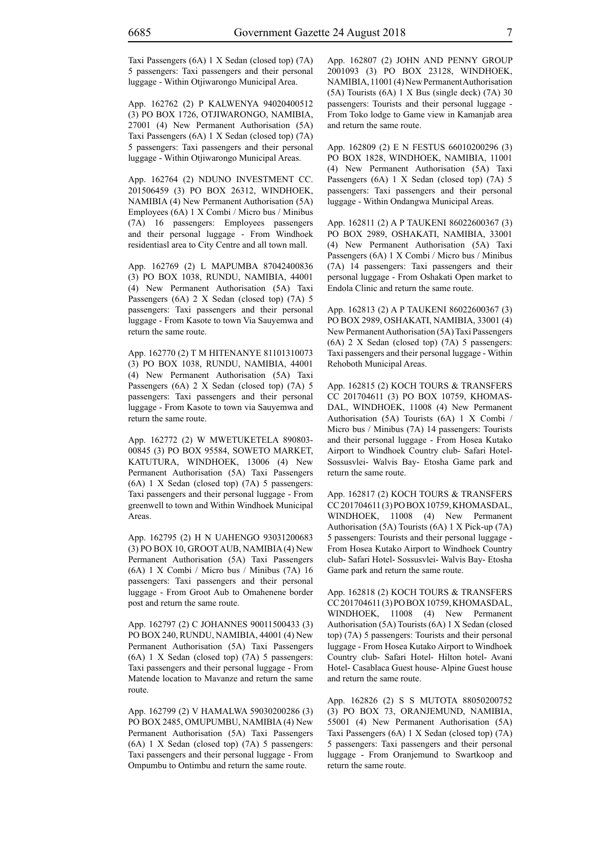Taxi Passengers (6A) 1 X Sedan (closed top) (7A) 5 passengers: Taxi passengers and their personal luggage - Within Otjiwarongo Municipal Area.

App. 162762 (2) P KALWENYA 94020400512 (3) PO BOX 1726, OTJIWARONGO, NAMIBIA, 27001 (4) New Permanent Authorisation (5A) Taxi Passengers (6A) 1 X Sedan (closed top) (7A) 5 passengers: Taxi passengers and their personal luggage - Within Otjiwarongo Municipal Areas.

App. 162764 (2) NDUNO INVESTMENT CC. 201506459 (3) PO BOX 26312, WINDHOEK, NAMIBIA (4) New Permanent Authorisation (5A) Employees (6A) 1 X Combi / Micro bus / Minibus (7A) 16 passengers: Employees passengers and their personal luggage - From Windhoek residentiasl area to City Centre and all town mall.

App. 162769 (2) L MAPUMBA 87042400836 (3) PO BOX 1038, RUNDU, NAMIBIA, 44001 (4) New Permanent Authorisation (5A) Taxi Passengers (6A) 2 X Sedan (closed top) (7A) 5 passengers: Taxi passengers and their personal luggage - From Kasote to town Via Sauyemwa and return the same route.

App. 162770 (2) T M HITENANYE 81101310073 (3) PO BOX 1038, RUNDU, NAMIBIA, 44001 (4) New Permanent Authorisation (5A) Taxi Passengers (6A) 2 X Sedan (closed top) (7A) 5 passengers: Taxi passengers and their personal luggage - From Kasote to town via Sauyemwa and return the same route.

App. 162772 (2) W MWETUKETELA 890803- 00845 (3) PO BOX 95584, SOWETO MARKET, KATUTURA, WINDHOEK, 13006 (4) New Permanent Authorisation (5A) Taxi Passengers (6A) 1 X Sedan (closed top) (7A) 5 passengers: Taxi passengers and their personal luggage - From greenwell to town and Within Windhoek Municipal Areas.

App. 162795 (2) H N UAHENGO 93031200683 (3) PO BOX 10, GROOT AUB, NAMIBIA (4) New Permanent Authorisation (5A) Taxi Passengers (6A) 1 X Combi / Micro bus / Minibus (7A) 16 passengers: Taxi passengers and their personal luggage - From Groot Aub to Omahenene border post and return the same route.

App. 162797 (2) C JOHANNES 90011500433 (3) PO BOX 240, RUNDU, NAMIBIA, 44001 (4) New Permanent Authorisation (5A) Taxi Passengers (6A) 1 X Sedan (closed top) (7A) 5 passengers: Taxi passengers and their personal luggage - From Matende location to Mavanze and return the same route.

App. 162799 (2) V HAMALWA 59030200286 (3) PO BOX 2485, OMUPUMBU, NAMIBIA (4) New Permanent Authorisation (5A) Taxi Passengers (6A) 1 X Sedan (closed top) (7A) 5 passengers: Taxi passengers and their personal luggage - From Ompumbu to Ontimbu and return the same route.

App. 162807 (2) JOHN AND PENNY GROUP 2001093 (3) PO BOX 23128, WINDHOEK, NAMIBIA, 11001 (4) New Permanent Authorisation (5A) Tourists (6A) 1 X Bus (single deck) (7A) 30 passengers: Tourists and their personal luggage - From Toko lodge to Game view in Kamanjab area and return the same route.

App. 162809 (2) E N FESTUS 66010200296 (3) PO BOX 1828, WINDHOEK, NAMIBIA, 11001 (4) New Permanent Authorisation (5A) Taxi Passengers (6A) 1 X Sedan (closed top) (7A) 5 passengers: Taxi passengers and their personal luggage - Within Ondangwa Municipal Areas.

App. 162811 (2) A P TAUKENI 86022600367 (3) PO BOX 2989, OSHAKATI, NAMIBIA, 33001 (4) New Permanent Authorisation (5A) Taxi Passengers (6A) 1 X Combi / Micro bus / Minibus (7A) 14 passengers: Taxi passengers and their personal luggage - From Oshakati Open market to Endola Clinic and return the same route.

App. 162813 (2) A P TAUKENI 86022600367 (3) PO BOX 2989, OSHAKATI, NAMIBIA, 33001 (4) New Permanent Authorisation (5A) Taxi Passengers (6A) 2 X Sedan (closed top) (7A) 5 passengers: Taxi passengers and their personal luggage - Within Rehoboth Municipal Areas.

App. 162815 (2) KOCH TOURS & TRANSFERS CC 201704611 (3) PO BOX 10759, KHOMAS-DAL, WINDHOEK, 11008 (4) New Permanent Authorisation (5A) Tourists (6A) 1 X Combi / Micro bus / Minibus (7A) 14 passengers: Tourists and their personal luggage - From Hosea Kutako Airport to Windhoek Country club- Safari Hotel-Sossusvlei- Walvis Bay- Etosha Game park and return the same route.

App. 162817 (2) KOCH TOURS & TRANSFERS CC 201704611 (3) PO BOX 10759, KHOMASDAL, WINDHOEK, 11008 (4) New Permanent Authorisation (5A) Tourists (6A) 1 X Pick-up (7A) 5 passengers: Tourists and their personal luggage - From Hosea Kutako Airport to Windhoek Country club- Safari Hotel- Sossusvlei- Walvis Bay- Etosha Game park and return the same route.

App. 162818 (2) KOCH TOURS & TRANSFERS CC 201704611 (3) PO BOX 10759, KHOMASDAL, WINDHOEK, 11008 (4) New Permanent Authorisation (5A) Tourists (6A) 1 X Sedan (closed top) (7A) 5 passengers: Tourists and their personal luggage - From Hosea Kutako Airport to Windhoek Country club- Safari Hotel- Hilton hotel- Avani Hotel- Casablaca Guest house- Alpine Guest house and return the same route.

App. 162826 (2) S S MUTOTA 88050200752 (3) PO BOX 73, ORANJEMUND, NAMIBIA, 55001 (4) New Permanent Authorisation (5A) Taxi Passengers (6A) 1 X Sedan (closed top) (7A) 5 passengers: Taxi passengers and their personal luggage - From Oranjemund to Swartkoop and return the same route.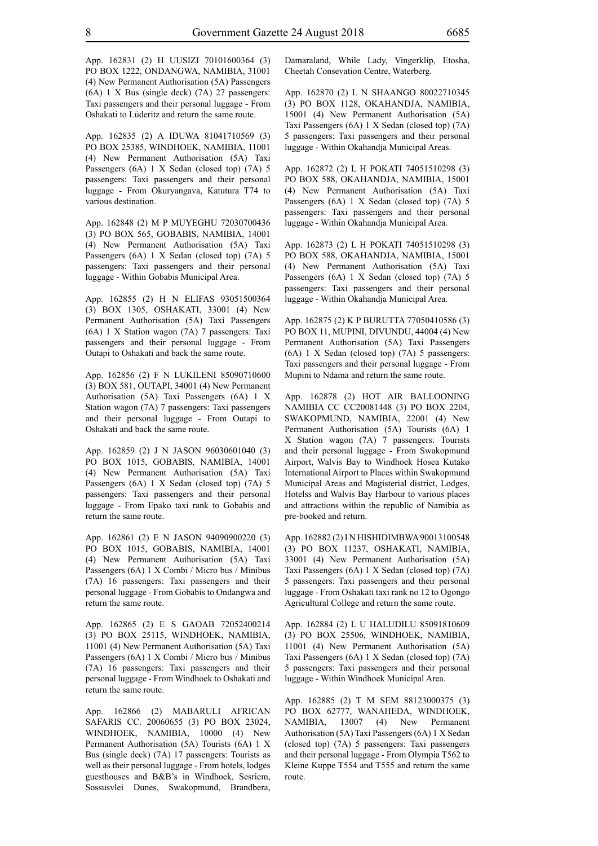App. 162831 (2) H UUSIZI 70101600364 (3) PO BOX 1222, ONDANGWA, NAMIBIA, 31001 (4) New Permanent Authorisation (5A) Passengers (6A) 1 X Bus (single deck) (7A) 27 passengers: Taxi passengers and their personal luggage - From Oshakati to Lüderitz and return the same route.

App. 162835 (2) A IDUWA 81041710569 (3) PO BOX 25385, WINDHOEK, NAMIBIA, 11001 (4) New Permanent Authorisation (5A) Taxi Passengers (6A) 1 X Sedan (closed top) (7A) 5 passengers: Taxi passengers and their personal luggage - From Okuryangava, Katutura T74 to various destination.

App. 162848 (2) M P MUYEGHU 72030700436 (3) PO BOX 565, GOBABIS, NAMIBIA, 14001 (4) New Permanent Authorisation (5A) Taxi Passengers (6A) 1 X Sedan (closed top) (7A) 5 passengers: Taxi passengers and their personal luggage - Within Gobabis Municipal Area.

App. 162855 (2) H N ELIFAS 93051500364 (3) BOX 1305, OSHAKATI, 33001 (4) New Permanent Authorisation (5A) Taxi Passengers (6A) 1 X Station wagon (7A) 7 passengers: Taxi passengers and their personal luggage - From Outapi to Oshakati and back the same route.

App. 162856 (2) F N LUKILENI 85090710600 (3) BOX 581, OUTAPI, 34001 (4) New Permanent Authorisation (5A) Taxi Passengers (6A) 1 X Station wagon (7A) 7 passengers: Taxi passengers and their personal luggage - From Outapi to Oshakati and back the same route.

App. 162859 (2) J N JASON 96030601040 (3) PO BOX 1015, GOBABIS, NAMIBIA, 14001 (4) New Permanent Authorisation (5A) Taxi Passengers (6A) 1 X Sedan (closed top) (7A) 5 passengers: Taxi passengers and their personal luggage - From Epako taxi rank to Gobabis and return the same route.

App. 162861 (2) E N JASON 94090900220 (3) PO BOX 1015, GOBABIS, NAMIBIA, 14001 (4) New Permanent Authorisation (5A) Taxi Passengers (6A) 1 X Combi / Micro bus / Minibus (7A) 16 passengers: Taxi passengers and their personal luggage - From Gobabis to Ondangwa and return the same route.

App. 162865 (2) E S GAOAB 72052400214 (3) PO BOX 25115, WINDHOEK, NAMIBIA, 11001 (4) New Permanent Authorisation (5A) Taxi Passengers (6A) 1 X Combi / Micro bus / Minibus (7A) 16 passengers: Taxi passengers and their personal luggage - From Windhoek to Oshakati and return the same route.

App. 162866 (2) MABARULI AFRICAN SAFARIS CC. 20060655 (3) PO BOX 23024, WINDHOEK, NAMIBIA, 10000 (4) New Permanent Authorisation (5A) Tourists (6A) 1 X Bus (single deck) (7A) 17 passengers: Tourists as well as their personal luggage - From hotels, lodges guesthouses and B&B's in Windhoek, Sesriem, Sossusvlei Dunes, Swakopmund, Brandbera, Damaraland, While Lady, Vingerklip, Etosha, Cheetah Consevation Centre, Waterberg.

App. 162870 (2) L N SHAANGO 80022710345 (3) PO BOX 1128, OKAHANDJA, NAMIBIA, 15001 (4) New Permanent Authorisation (5A) Taxi Passengers (6A) 1 X Sedan (closed top) (7A) 5 passengers: Taxi passengers and their personal luggage - Within Okahandja Municipal Areas.

App. 162872 (2) L H POKATI 74051510298 (3) PO BOX 588, OKAHANDJA, NAMIBIA, 15001 (4) New Permanent Authorisation (5A) Taxi Passengers (6A) 1 X Sedan (closed top) (7A) 5 passengers: Taxi passengers and their personal luggage - Within Okahandja Municipal Area.

App. 162873 (2) L H POKATI 74051510298 (3) PO BOX 588, OKAHANDJA, NAMIBIA, 15001 (4) New Permanent Authorisation (5A) Taxi Passengers (6A) 1 X Sedan (closed top) (7A) 5 passengers: Taxi passengers and their personal luggage - Within Okahandja Municipal Area.

App. 162875 (2) K P BURUTTA 77050410586 (3) PO BOX 11, MUPINI, DIVUNDU, 44004 (4) New Permanent Authorisation (5A) Taxi Passengers (6A) 1 X Sedan (closed top) (7A) 5 passengers: Taxi passengers and their personal luggage - From Mupini to Ndama and return the same route.

App. 162878 (2) HOT AIR BALLOONING NAMIBIA CC CC20081448 (3) PO BOX 2204, SWAKOPMUND, NAMIBIA, 22001 (4) New Permanent Authorisation (5A) Tourists (6A) 1 X Station wagon (7A) 7 passengers: Tourists and their personal luggage - From Swakopmund Airport, Walvis Bay to Windhoek Hosea Kutako International Airport to Places within Swakopmund Municipal Areas and Magisterial district, Lodges, Hotelss and Walvis Bay Harbour to various places and attractions within the republic of Namibia as pre-booked and return.

App. 162882 (2) I N HISHIDIMBWA 90013100548 (3) PO BOX 11237, OSHAKATI, NAMIBIA, 33001 (4) New Permanent Authorisation (5A) Taxi Passengers (6A) 1 X Sedan (closed top) (7A) 5 passengers: Taxi passengers and their personal luggage - From Oshakati taxi rank no 12 to Ogongo Agricultural College and return the same route.

App. 162884 (2) L U HALUDILU 85091810609 (3) PO BOX 25506, WINDHOEK, NAMIBIA, 11001 (4) New Permanent Authorisation (5A) Taxi Passengers (6A) 1 X Sedan (closed top) (7A) 5 passengers: Taxi passengers and their personal luggage - Within Windhoek Municipal Area.

App. 162885 (2) T M SEM 88123000375 (3) PO BOX 62777, WANAHEDA, WINDHOEK, NAMIBIA, 13007 (4) New Permanent Authorisation (5A) Taxi Passengers (6A) 1 X Sedan (closed top) (7A) 5 passengers: Taxi passengers and their personal luggage - From Olympia T562 to Kleine Kuppe T554 and T555 and return the same route.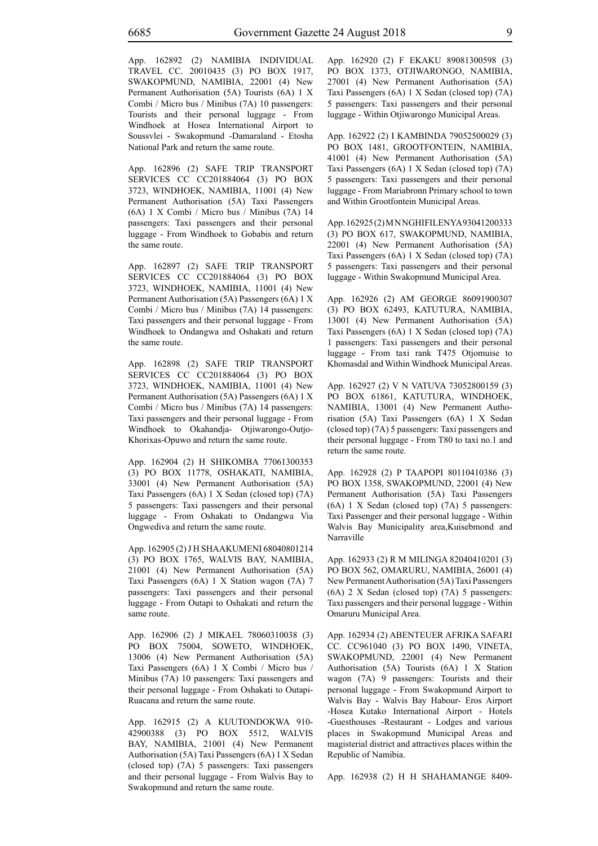App. 162892 (2) NAMIBIA INDIVIDUAL TRAVEL CC. 20010435 (3) PO BOX 1917, SWAKOPMUND, NAMIBIA, 22001 (4) New Permanent Authorisation (5A) Tourists (6A) 1 X Combi / Micro bus / Minibus (7A) 10 passengers: Tourists and their personal luggage - From Windhoek at Hosea International Airport to Soussvlei - Swakopmund -Damaraland - Etosha National Park and return the same route.

App. 162896 (2) SAFE TRIP TRANSPORT SERVICES CC CC201884064 (3) PO BOX 3723, WINDHOEK, NAMIBIA, 11001 (4) New Permanent Authorisation (5A) Taxi Passengers (6A) 1 X Combi / Micro bus / Minibus (7A) 14 passengers: Taxi passengers and their personal luggage - From Windhoek to Gobabis and return the same route.

App. 162897 (2) SAFE TRIP TRANSPORT SERVICES CC CC201884064 (3) PO BOX 3723, WINDHOEK, NAMIBIA, 11001 (4) New Permanent Authorisation (5A) Passengers (6A) 1 X Combi / Micro bus / Minibus (7A) 14 passengers: Taxi passengers and their personal luggage - From Windhoek to Ondangwa and Oshakati and return the same route.

App. 162898 (2) SAFE TRIP TRANSPORT SERVICES CC CC201884064 (3) PO BOX 3723, WINDHOEK, NAMIBIA, 11001 (4) New Permanent Authorisation (5A) Passengers (6A) 1 X Combi / Micro bus / Minibus (7A) 14 passengers: Taxi passengers and their personal luggage - From Windhoek to Okahandja- Otjiwarongo-Outjo-Khorixas-Opuwo and return the same route.

App. 162904 (2) H SHIKOMBA 77061300353 (3) PO BOX 11778, OSHAKATI, NAMIBIA, 33001 (4) New Permanent Authorisation (5A) Taxi Passengers (6A) 1 X Sedan (closed top) (7A) 5 passengers: Taxi passengers and their personal luggage - From Oshakati to Ondangwa Via Ongwediva and return the same route.

App. 162905 (2) J H SHAAKUMENI 68040801214 (3) PO BOX 1765, WALVIS BAY, NAMIBIA, 21001 (4) New Permanent Authorisation (5A) Taxi Passengers (6A) 1 X Station wagon (7A) 7 passengers: Taxi passengers and their personal luggage - From Outapi to Oshakati and return the same route.

App. 162906 (2) J MIKAEL 78060310038 (3) PO BOX 75004, SOWETO, WINDHOEK, 13006 (4) New Permanent Authorisation (5A) Taxi Passengers (6A) 1 X Combi / Micro bus / Minibus (7A) 10 passengers: Taxi passengers and their personal luggage - From Oshakati to Outapi-Ruacana and return the same route.

App. 162915 (2) A KUUTONDOKWA 910- 42900388 (3) PO BOX 5512, WALVIS BAY, NAMIBIA, 21001 (4) New Permanent Authorisation (5A) Taxi Passengers (6A) 1 X Sedan (closed top) (7A) 5 passengers: Taxi passengers and their personal luggage - From Walvis Bay to Swakopmund and return the same route.

App. 162920 (2) F EKAKU 89081300598 (3) PO BOX 1373, OTJIWARONGO, NAMIBIA, 27001 (4) New Permanent Authorisation (5A) Taxi Passengers (6A) 1 X Sedan (closed top) (7A) 5 passengers: Taxi passengers and their personal luggage - Within Otjiwarongo Municipal Areas.

App. 162922 (2) I KAMBINDA 79052500029 (3) PO BOX 1481, GROOTFONTEIN, NAMIBIA, 41001 (4) New Permanent Authorisation (5A) Taxi Passengers (6A) 1 X Sedan (closed top) (7A) 5 passengers: Taxi passengers and their personal luggage - From Mariabronn Primary school to town and Within Grootfontein Municipal Areas.

App. 162925 (2) M N NGHIFILENYA 93041200333 (3) PO BOX 617, SWAKOPMUND, NAMIBIA, 22001 (4) New Permanent Authorisation (5A) Taxi Passengers (6A) 1 X Sedan (closed top) (7A) 5 passengers: Taxi passengers and their personal luggage - Within Swakopmund Municipal Area.

App. 162926 (2) AM GEORGE 86091900307 (3) PO BOX 62493, KATUTURA, NAMIBIA, 13001 (4) New Permanent Authorisation (5A) Taxi Passengers (6A) 1 X Sedan (closed top) (7A) 1 passengers: Taxi passengers and their personal luggage - From taxi rank T475 Otjomuise to Khomasdal and Within Windhoek Municipal Areas.

App. 162927 (2) V N VATUVA 73052800159 (3) PO BOX 61861, KATUTURA, WINDHOEK, NAMIBIA, 13001 (4) New Permanent Authorisation (5A) Taxi Passengers (6A) 1 X Sedan (closed top) (7A) 5 passengers: Taxi passengers and their personal luggage - From T80 to taxi no.1 and return the same route.

App. 162928 (2) P TAAPOPI 80110410386 (3) PO BOX 1358, SWAKOPMUND, 22001 (4) New Permanent Authorisation (5A) Taxi Passengers (6A) 1 X Sedan (closed top) (7A) 5 passengers: Taxi Passenger and their personal luggage - Within Walvis Bay Municipality area,Kuisebmond and Narraville

App. 162933 (2) R M MILINGA 82040410201 (3) PO BOX 562, OMARURU, NAMIBIA, 26001 (4) New Permanent Authorisation (5A) Taxi Passengers (6A) 2 X Sedan (closed top) (7A) 5 passengers: Taxi passengers and their personal luggage - Within Omaruru Municipal Area.

App. 162934 (2) ABENTEUER AFRIKA SAFARI CC. CC961040 (3) PO BOX 1490, VINETA, SWAKOPMUND, 22001 (4) New Permanent Authorisation (5A) Tourists (6A) 1 X Station wagon (7A) 9 passengers: Tourists and their personal luggage - From Swakopmund Airport to Walvis Bay - Walvis Bay Habour- Eros Airport -Hosea Kutako International Airport - Hotels -Guesthouses -Restaurant - Lodges and various places in Swakopmund Municipal Areas and magisterial district and attractives places within the Republic of Namibia.

App. 162938 (2) H H SHAHAMANGE 8409-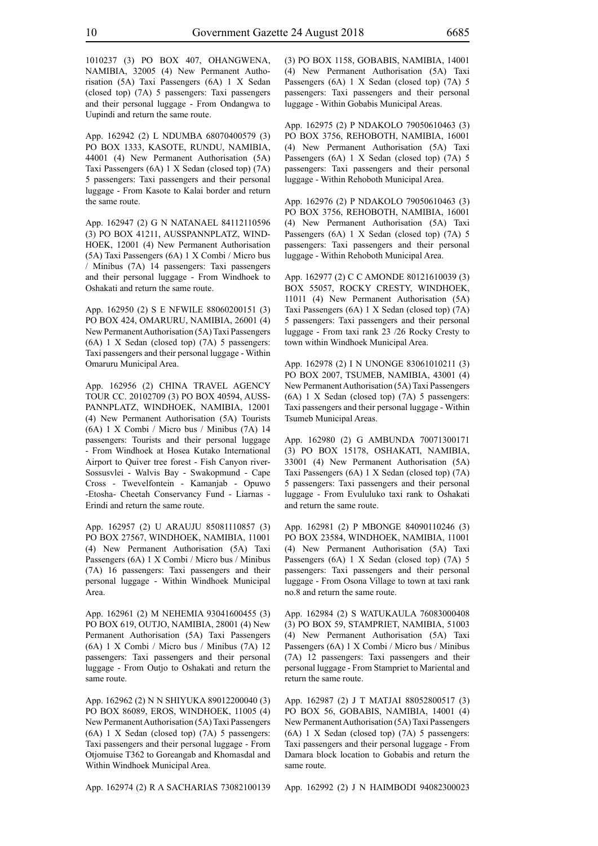1010237 (3) PO BOX 407, OHANGWENA, NAMIBIA, 32005 (4) New Permanent Authorisation (5A) Taxi Passengers (6A) 1 X Sedan (closed top) (7A) 5 passengers: Taxi passengers and their personal luggage - From Ondangwa to Uupindi and return the same route.

App. 162942 (2) L NDUMBA 68070400579 (3) PO BOX 1333, KASOTE, RUNDU, NAMIBIA, 44001 (4) New Permanent Authorisation (5A) Taxi Passengers (6A) 1 X Sedan (closed top) (7A) 5 passengers: Taxi passengers and their personal luggage - From Kasote to Kalai border and return the same route.

App. 162947 (2) G N NATANAEL 84112110596 (3) PO BOX 41211, AUSSPANNPLATZ, WIND-HOEK, 12001 (4) New Permanent Authorisation (5A) Taxi Passengers (6A) 1 X Combi / Micro bus / Minibus (7A) 14 passengers: Taxi passengers and their personal luggage - From Windhoek to Oshakati and return the same route.

App. 162950 (2) S E NFWILE 88060200151 (3) PO BOX 424, OMARURU, NAMIBIA, 26001 (4) New Permanent Authorisation (5A) Taxi Passengers (6A) 1 X Sedan (closed top) (7A) 5 passengers: Taxi passengers and their personal luggage - Within Omaruru Municipal Area.

App. 162956 (2) CHINA TRAVEL AGENCY TOUR CC. 20102709 (3) PO BOX 40594, AUSS-PANNPLATZ, WINDHOEK, NAMIBIA, 12001 (4) New Permanent Authorisation (5A) Tourists (6A) 1 X Combi / Micro bus / Minibus (7A) 14 passengers: Tourists and their personal luggage - From Windhoek at Hosea Kutako International Airport to Quiver tree forest - Fish Canyon river-Sossusvlei - Walvis Bay - Swakopmund - Cape Cross - Twevelfontein - Kamanjab - Opuwo -Etosha- Cheetah Conservancy Fund - Liarnas - Erindi and return the same route.

App. 162957 (2) U ARAUJU 85081110857 (3) PO BOX 27567, WINDHOEK, NAMIBIA, 11001 (4) New Permanent Authorisation (5A) Taxi Passengers (6A) 1 X Combi / Micro bus / Minibus (7A) 16 passengers: Taxi passengers and their personal luggage - Within Windhoek Municipal Area.

App. 162961 (2) M NEHEMIA 93041600455 (3) PO BOX 619, OUTJO, NAMIBIA, 28001 (4) New Permanent Authorisation (5A) Taxi Passengers (6A) 1 X Combi / Micro bus / Minibus (7A) 12 passengers: Taxi passengers and their personal luggage - From Outjo to Oshakati and return the same route.

App. 162962 (2) N N SHIYUKA 89012200040 (3) PO BOX 86089, EROS, WINDHOEK, 11005 (4) New Permanent Authorisation (5A) Taxi Passengers (6A) 1 X Sedan (closed top) (7A) 5 passengers: Taxi passengers and their personal luggage - From Otjomuise T362 to Goreangab and Khomasdal and Within Windhoek Municipal Area.

(4) New Permanent Authorisation (5A) Taxi Passengers (6A) 1 X Sedan (closed top) (7A) 5 passengers: Taxi passengers and their personal luggage - Within Gobabis Municipal Areas.

App. 162975 (2) P NDAKOLO 79050610463 (3) PO BOX 3756, REHOBOTH, NAMIBIA, 16001 (4) New Permanent Authorisation (5A) Taxi Passengers (6A) 1 X Sedan (closed top) (7A) 5 passengers: Taxi passengers and their personal luggage - Within Rehoboth Municipal Area.

(3) PO BOX 1158, GOBABIS, NAMIBIA, 14001

App. 162976 (2) P NDAKOLO 79050610463 (3) PO BOX 3756, REHOBOTH, NAMIBIA, 16001 (4) New Permanent Authorisation (5A) Taxi Passengers (6A) 1 X Sedan (closed top) (7A) 5 passengers: Taxi passengers and their personal luggage - Within Rehoboth Municipal Area.

App. 162977 (2) C C AMONDE 80121610039 (3) BOX 55057, ROCKY CRESTY, WINDHOEK, 11011 (4) New Permanent Authorisation (5A) Taxi Passengers (6A) 1 X Sedan (closed top) (7A) 5 passengers: Taxi passengers and their personal luggage - From taxi rank 23 /26 Rocky Cresty to town within Windhoek Municipal Area.

App. 162978 (2) I N UNONGE 83061010211 (3) PO BOX 2007, TSUMEB, NAMIBIA, 43001 (4) New Permanent Authorisation (5A) Taxi Passengers (6A) 1 X Sedan (closed top) (7A) 5 passengers: Taxi passengers and their personal luggage - Within Tsumeb Municipal Areas.

App. 162980 (2) G AMBUNDA 70071300171 (3) PO BOX 15178, OSHAKATI, NAMIBIA, 33001 (4) New Permanent Authorisation (5A) Taxi Passengers (6A) 1 X Sedan (closed top) (7A) 5 passengers: Taxi passengers and their personal luggage - From Evululuko taxi rank to Oshakati and return the same route.

App. 162981 (2) P MBONGE 84090110246 (3) PO BOX 23584, WINDHOEK, NAMIBIA, 11001 (4) New Permanent Authorisation (5A) Taxi Passengers (6A) 1 X Sedan (closed top) (7A) 5 passengers: Taxi passengers and their personal luggage - From Osona Village to town at taxi rank no.8 and return the same route.

App. 162984 (2) S WATUKAULA 76083000408 (3) PO BOX 59, STAMPRIET, NAMIBIA, 51003 (4) New Permanent Authorisation (5A) Taxi Passengers (6A) 1 X Combi / Micro bus / Minibus (7A) 12 passengers: Taxi passengers and their personal luggage - From Stampriet to Mariental and return the same route.

App. 162987 (2) J T MATJAI 88052800517 (3) PO BOX 56, GOBABIS, NAMIBIA, 14001 (4) New Permanent Authorisation (5A) Taxi Passengers (6A) 1 X Sedan (closed top) (7A) 5 passengers: Taxi passengers and their personal luggage - From Damara block location to Gobabis and return the same route.

App. 162974 (2) R A SACHARIAS 73082100139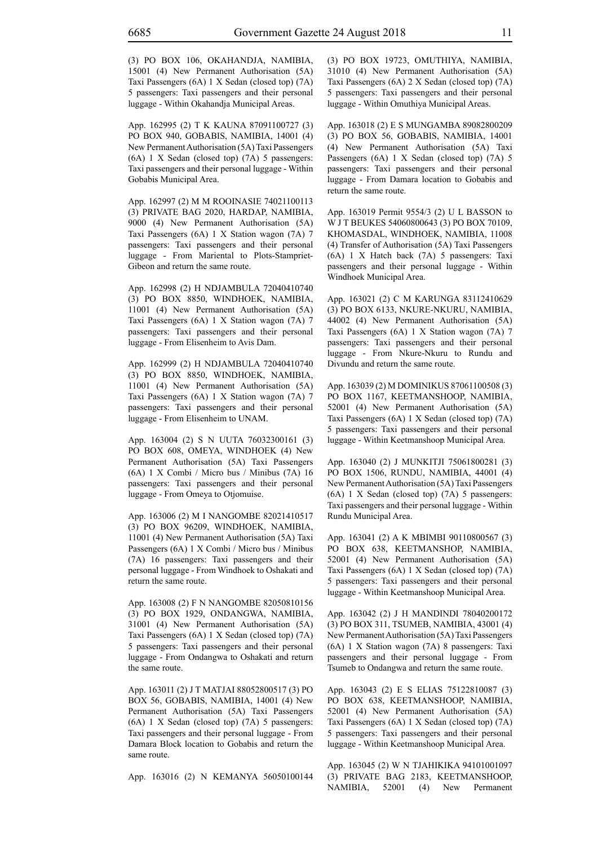(3) PO BOX 106, OKAHANDJA, NAMIBIA, 15001 (4) New Permanent Authorisation (5A) Taxi Passengers (6A) 1 X Sedan (closed top) (7A) 5 passengers: Taxi passengers and their personal luggage - Within Okahandja Municipal Areas.

App. 162995 (2) T K KAUNA 87091100727 (3) PO BOX 940, GOBABIS, NAMIBIA, 14001 (4) New Permanent Authorisation (5A) Taxi Passengers (6A) 1 X Sedan (closed top) (7A) 5 passengers: Taxi passengers and their personal luggage - Within Gobabis Municipal Area.

App. 162997 (2) M M ROOINASIE 74021100113 (3) PRIVATE BAG 2020, HARDAP, NAMIBIA, 9000 (4) New Permanent Authorisation (5A) Taxi Passengers (6A) 1 X Station wagon (7A) 7 passengers: Taxi passengers and their personal luggage - From Mariental to Plots-Stampriet-Gibeon and return the same route.

App. 162998 (2) H NDJAMBULA 72040410740 (3) PO BOX 8850, WINDHOEK, NAMIBIA, 11001 (4) New Permanent Authorisation (5A) Taxi Passengers (6A) 1 X Station wagon (7A) 7 passengers: Taxi passengers and their personal luggage - From Elisenheim to Avis Dam.

App. 162999 (2) H NDJAMBULA 72040410740 (3) PO BOX 8850, WINDHOEK, NAMIBIA, 11001 (4) New Permanent Authorisation (5A) Taxi Passengers (6A) 1 X Station wagon (7A) 7 passengers: Taxi passengers and their personal luggage - From Elisenheim to UNAM.

App. 163004 (2) S N UUTA 76032300161 (3) PO BOX 608, OMEYA, WINDHOEK (4) New Permanent Authorisation (5A) Taxi Passengers (6A) 1 X Combi / Micro bus / Minibus (7A) 16 passengers: Taxi passengers and their personal luggage - From Omeya to Otjomuise.

App. 163006 (2) M I NANGOMBE 82021410517 (3) PO BOX 96209, WINDHOEK, NAMIBIA, 11001 (4) New Permanent Authorisation (5A) Taxi Passengers (6A) 1 X Combi / Micro bus / Minibus (7A) 16 passengers: Taxi passengers and their personal luggage - From Windhoek to Oshakati and return the same route.

App. 163008 (2) F N NANGOMBE 82050810156 (3) PO BOX 1929, ONDANGWA, NAMIBIA, 31001 (4) New Permanent Authorisation (5A) Taxi Passengers (6A) 1 X Sedan (closed top) (7A) 5 passengers: Taxi passengers and their personal luggage - From Ondangwa to Oshakati and return the same route.

App. 163011 (2) J T MATJAI 88052800517 (3) PO BOX 56, GOBABIS, NAMIBIA, 14001 (4) New Permanent Authorisation (5A) Taxi Passengers (6A) 1 X Sedan (closed top) (7A) 5 passengers: Taxi passengers and their personal luggage - From Damara Block location to Gobabis and return the same route.

App. 163016 (2) N KEMANYA 56050100144

(3) PO BOX 19723, OMUTHIYA, NAMIBIA, 31010 (4) New Permanent Authorisation (5A) Taxi Passengers (6A) 2 X Sedan (closed top) (7A) 5 passengers: Taxi passengers and their personal luggage - Within Omuthiya Municipal Areas.

App. 163018 (2) E S MUNGAMBA 89082800209 (3) PO BOX 56, GOBABIS, NAMIBIA, 14001 (4) New Permanent Authorisation (5A) Taxi Passengers (6A) 1 X Sedan (closed top) (7A) 5 passengers: Taxi passengers and their personal luggage - From Damara location to Gobabis and return the same route.

App. 163019 Permit 9554/3 (2) U L BASSON to W J T BEUKES 54060800643 (3) PO BOX 70109, KHOMASDAL, WINDHOEK, NAMIBIA, 11008 (4) Transfer of Authorisation (5A) Taxi Passengers (6A) 1 X Hatch back (7A) 5 passengers: Taxi passengers and their personal luggage - Within Windhoek Municipal Area.

App. 163021 (2) C M KARUNGA 83112410629 (3) PO BOX 6133, NKURE-NKURU, NAMIBIA, 44002 (4) New Permanent Authorisation (5A) Taxi Passengers (6A) 1 X Station wagon (7A) 7 passengers: Taxi passengers and their personal luggage - From Nkure-Nkuru to Rundu and Divundu and return the same route.

App. 163039 (2) M DOMINIKUS 87061100508 (3) PO BOX 1167, KEETMANSHOOP, NAMIBIA, 52001 (4) New Permanent Authorisation (5A) Taxi Passengers (6A) 1 X Sedan (closed top) (7A) 5 passengers: Taxi passengers and their personal luggage - Within Keetmanshoop Municipal Area.

App. 163040 (2) J MUNKITJI 75061800281 (3) PO BOX 1506, RUNDU, NAMIBIA, 44001 (4) New Permanent Authorisation (5A) Taxi Passengers (6A) 1 X Sedan (closed top) (7A) 5 passengers: Taxi passengers and their personal luggage - Within Rundu Municipal Area.

App. 163041 (2) A K MBIMBI 90110800567 (3) PO BOX 638, KEETMANSHOP, NAMIBIA, 52001 (4) New Permanent Authorisation (5A) Taxi Passengers (6A) 1 X Sedan (closed top) (7A) 5 passengers: Taxi passengers and their personal luggage - Within Keetmanshoop Municipal Area.

App. 163042 (2) J H MANDINDI 78040200172 (3) PO BOX 311, TSUMEB, NAMIBIA, 43001 (4) New Permanent Authorisation (5A) Taxi Passengers (6A) 1 X Station wagon (7A) 8 passengers: Taxi passengers and their personal luggage - From Tsumeb to Ondangwa and return the same route.

App. 163043 (2) E S ELIAS 75122810087 (3) PO BOX 638, KEETMANSHOOP, NAMIBIA, 52001 (4) New Permanent Authorisation (5A) Taxi Passengers (6A) 1 X Sedan (closed top) (7A) 5 passengers: Taxi passengers and their personal luggage - Within Keetmanshoop Municipal Area.

App. 163045 (2) W N TJAHIKIKA 94101001097 (3) PRIVATE BAG 2183, KEETMANSHOOP, NAMIBIA, 52001 (4) New Permanent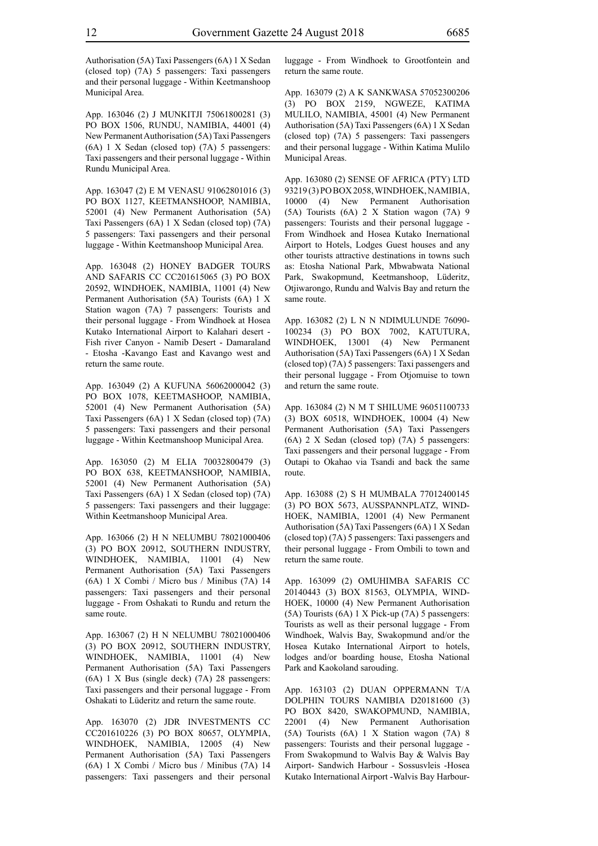Authorisation (5A) Taxi Passengers (6A) 1 X Sedan (closed top) (7A) 5 passengers: Taxi passengers and their personal luggage - Within Keetmanshoop Municipal Area.

App. 163046 (2) J MUNKITJI 75061800281 (3) PO BOX 1506, RUNDU, NAMIBIA, 44001 (4) New Permanent Authorisation (5A) Taxi Passengers (6A) 1 X Sedan (closed top) (7A) 5 passengers: Taxi passengers and their personal luggage - Within Rundu Municipal Area.

App. 163047 (2) E M VENASU 91062801016 (3) PO BOX 1127, KEETMANSHOOP, NAMIBIA, 52001 (4) New Permanent Authorisation (5A) Taxi Passengers (6A) 1 X Sedan (closed top) (7A) 5 passengers: Taxi passengers and their personal luggage - Within Keetmanshoop Municipal Area.

App. 163048 (2) HONEY BADGER TOURS AND SAFARIS CC CC201615065 (3) PO BOX 20592, WINDHOEK, NAMIBIA, 11001 (4) New Permanent Authorisation (5A) Tourists (6A) 1 X Station wagon (7A) 7 passengers: Tourists and their personal luggage - From Windhoek at Hosea Kutako International Airport to Kalahari desert - Fish river Canyon - Namib Desert - Damaraland - Etosha -Kavango East and Kavango west and return the same route.

App. 163049 (2) A KUFUNA 56062000042 (3) PO BOX 1078, KEETMASHOOP, NAMIBIA, 52001 (4) New Permanent Authorisation (5A) Taxi Passengers (6A) 1 X Sedan (closed top) (7A) 5 passengers: Taxi passengers and their personal luggage - Within Keetmanshoop Municipal Area.

App. 163050 (2) M ELIA 70032800479 (3) PO BOX 638, KEETMANSHOOP, NAMIBIA, 52001 (4) New Permanent Authorisation (5A) Taxi Passengers (6A) 1 X Sedan (closed top) (7A) 5 passengers: Taxi passengers and their luggage: Within Keetmanshoop Municipal Area.

App. 163066 (2) H N NELUMBU 78021000406 (3) PO BOX 20912, SOUTHERN INDUSTRY, WINDHOEK, NAMIBIA, 11001 (4) New Permanent Authorisation (5A) Taxi Passengers (6A) 1 X Combi / Micro bus / Minibus (7A) 14 passengers: Taxi passengers and their personal luggage - From Oshakati to Rundu and return the same route.

App. 163067 (2) H N NELUMBU 78021000406 (3) PO BOX 20912, SOUTHERN INDUSTRY, WINDHOEK, NAMIBIA, 11001 (4) New Permanent Authorisation (5A) Taxi Passengers (6A) 1 X Bus (single deck) (7A) 28 passengers: Taxi passengers and their personal luggage - From Oshakati to Lüderitz and return the same route.

App. 163070 (2) JDR INVESTMENTS CC CC201610226 (3) PO BOX 80657, OLYMPIA, WINDHOEK, NAMIBIA, 12005 (4) New Permanent Authorisation (5A) Taxi Passengers (6A) 1 X Combi / Micro bus / Minibus (7A) 14 passengers: Taxi passengers and their personal luggage - From Windhoek to Grootfontein and return the same route.

App. 163079 (2) A K SANKWASA 57052300206 (3) PO BOX 2159, NGWEZE, KATIMA MULILO, NAMIBIA, 45001 (4) New Permanent Authorisation (5A) Taxi Passengers (6A) 1 X Sedan (closed top) (7A) 5 passengers: Taxi passengers and their personal luggage - Within Katima Mulilo Municipal Areas.

App. 163080 (2) SENSE OF AFRICA (PTY) LTD 93219 (3) PO BOX 2058, WINDHOEK, NAMIBIA, 10000 (4) New Permanent Authorisation (5A) Tourists (6A) 2 X Station wagon (7A) 9 passengers: Tourists and their personal luggage - From Windhoek and Hosea Kutako Inernational Airport to Hotels, Lodges Guest houses and any other tourists attractive destinations in towns such as: Etosha National Park, Mbwabwata National Park, Swakopmund, Keetmanshoop, Lüderitz, Otjiwarongo, Rundu and Walvis Bay and return the same route.

App. 163082 (2) L N N NDIMULUNDE 76090- 100234 (3) PO BOX 7002, KATUTURA, WINDHOEK, 13001 (4) New Permanent Authorisation (5A) Taxi Passengers (6A) 1 X Sedan (closed top) (7A) 5 passengers: Taxi passengers and their personal luggage - From Otjomuise to town and return the same route.

App. 163084 (2) N M T SHILUME 96051100733 (3) BOX 60518, WINDHOEK, 10004 (4) New Permanent Authorisation (5A) Taxi Passengers (6A) 2 X Sedan (closed top) (7A) 5 passengers: Taxi passengers and their personal luggage - From Outapi to Okahao via Tsandi and back the same route.

App. 163088 (2) S H MUMBALA 77012400145 (3) PO BOX 5673, AUSSPANNPLATZ, WIND-HOEK, NAMIBIA, 12001 (4) New Permanent Authorisation (5A) Taxi Passengers (6A) 1 X Sedan (closed top) (7A) 5 passengers: Taxi passengers and their personal luggage - From Ombili to town and return the same route.

App. 163099 (2) OMUHIMBA SAFARIS CC 20140443 (3) BOX 81563, OLYMPIA, WIND-HOEK, 10000 (4) New Permanent Authorisation (5A) Tourists (6A) 1 X Pick-up (7A) 5 passengers: Tourists as well as their personal luggage - From Windhoek, Walvis Bay, Swakopmund and/or the Hosea Kutako International Airport to hotels, lodges and/or boarding house, Etosha National Park and Kaokoland sarouding.

App. 163103 (2) DUAN OPPERMANN T/A DOLPHIN TOURS NAMIBIA D20181600 (3) PO BOX 8420, SWAKOPMUND, NAMIBIA, 22001 (4) New Permanent Authorisation (5A) Tourists (6A) 1 X Station wagon (7A) 8 passengers: Tourists and their personal luggage - From Swakopmund to Walvis Bay & Walvis Bay Airport- Sandwich Harbour - Sossusvleis -Hosea Kutako International Airport -Walvis Bay Harbour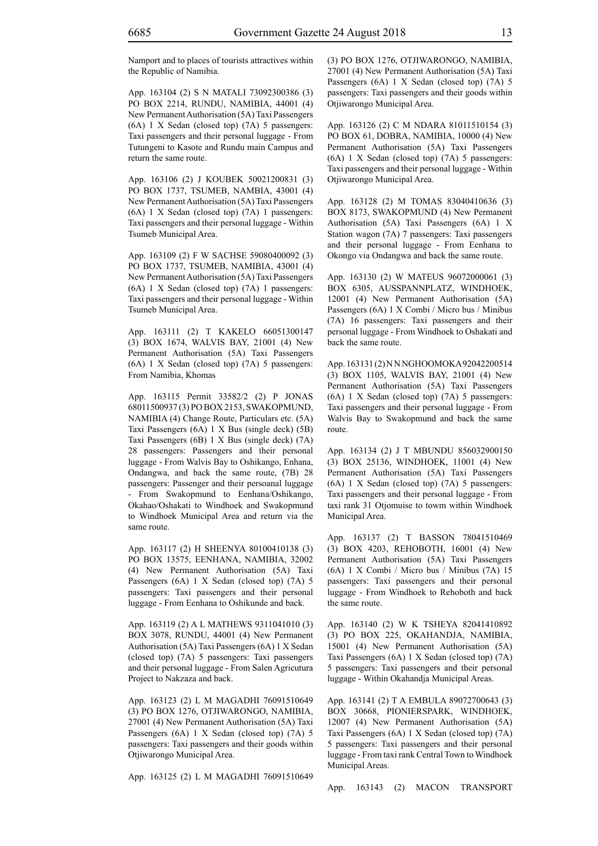Namport and to places of tourists attractives within the Republic of Namibia.

App. 163104 (2) S N MATALI 73092300386 (3) PO BOX 2214, RUNDU, NAMIBIA, 44001 (4) New Permanent Authorisation (5A) Taxi Passengers (6A) 1 X Sedan (closed top) (7A) 5 passengers: Taxi passengers and their personal luggage - From Tutungeni to Kasote and Rundu main Campus and return the same route.

App. 163106 (2) J KOUBEK 50021200831 (3) PO BOX 1737, TSUMEB, NAMBIA, 43001 (4) New Permanent Authorisation (5A) Taxi Passengers (6A) 1 X Sedan (closed top) (7A) 1 passengers: Taxi passengers and their personal luggage - Within Tsumeb Municipal Area.

App. 163109 (2) F W SACHSE 59080400092 (3) PO BOX 1737, TSUMEB, NAMIBIA, 43001 (4) New Permanent Authorisation (5A) Taxi Passengers (6A) 1 X Sedan (closed top) (7A) 1 passengers: Taxi passengers and their personal luggage - Within Tsumeb Municipal Area.

App. 163111 (2) T KAKELO 66051300147 (3) BOX 1674, WALVIS BAY, 21001 (4) New Permanent Authorisation (5A) Taxi Passengers (6A) 1 X Sedan (closed top) (7A) 5 passengers: From Namibia, Khomas

App. 163115 Permit 33582/2 (2) P JONAS 68011500937 (3) PO BOX 2153, SWAKOPMUND, NAMIBIA (4) Change Route, Particulars etc. (5A) Taxi Passengers (6A) 1 X Bus (single deck) (5B) Taxi Passengers (6B) 1 X Bus (single deck) (7A) 28 passengers: Passengers and their personal luggage - From Walvis Bay to Oshikango, Enhana, Ondangwa, and back the same route, (7B) 28 passengers: Passenger and their persoanal luggage From Swakopmund to Eenhana/Oshikango, Okahao/Oshakati to Windhoek and Swakopmund to Windhoek Municipal Area and return via the same route.

App. 163117 (2) H SHEENYA 80100410138 (3) PO BOX 13575, EENHANA, NAMIBIA, 32002 (4) New Permanent Authorisation (5A) Taxi Passengers (6A) 1 X Sedan (closed top) (7A) 5 passengers: Taxi passengers and their personal luggage - From Eenhana to Oshikunde and back.

App. 163119 (2) A L MATHEWS 9311041010 (3) BOX 3078, RUNDU, 44001 (4) New Permanent Authorisation (5A) Taxi Passengers (6A) 1 X Sedan (closed top) (7A) 5 passengers: Taxi passengers and their personal luggage - From Salen Agricutura Project to Nakzaza and back.

App. 163123 (2) L M MAGADHI 76091510649 (3) PO BOX 1276, OTJIWARONGO, NAMIBIA, 27001 (4) New Permanent Authorisation (5A) Taxi Passengers (6A) 1 X Sedan (closed top) (7A) 5 passengers: Taxi passengers and their goods within Otjiwarongo Municipal Area.

App. 163125 (2) L M MAGADHI 76091510649

(3) PO BOX 1276, OTJIWARONGO, NAMIBIA, 27001 (4) New Permanent Authorisation (5A) Taxi Passengers (6A) 1 X Sedan (closed top) (7A) 5 passengers: Taxi passengers and their goods within Otjiwarongo Municipal Area.

App. 163126 (2) C M NDARA 81011510154 (3) PO BOX 61, DOBRA, NAMIBIA, 10000 (4) New Permanent Authorisation (5A) Taxi Passengers (6A) 1 X Sedan (closed top) (7A) 5 passengers: Taxi passengers and their personal luggage - Within Otjiwarongo Municipal Area.

App. 163128 (2) M TOMAS 83040410636 (3) BOX 8173, SWAKOPMUND (4) New Permanent Authorisation (5A) Taxi Passengers (6A) 1 X Station wagon (7A) 7 passengers: Taxi passengers and their personal luggage - From Eenhana to Okongo via Ondangwa and back the same route.

App. 163130 (2) W MATEUS 96072000061 (3) BOX 6305, AUSSPANNPLATZ, WINDHOEK, 12001 (4) New Permanent Authorisation (5A) Passengers (6A) 1 X Combi / Micro bus / Minibus (7A) 16 passengers: Taxi passengers and their personal luggage - From Windhoek to Oshakati and back the same route.

App. 163131 (2) N N NGHOOMOKA 92042200514 (3) BOX 1105, WALVIS BAY, 21001 (4) New Permanent Authorisation (5A) Taxi Passengers (6A) 1 X Sedan (closed top) (7A) 5 passengers: Taxi passengers and their personal luggage - From Walvis Bay to Swakopmund and back the same route.

App. 163134 (2) J T MBUNDU 856032900150 (3) BOX 25136, WINDHOEK, 11001 (4) New Permanent Authorisation (5A) Taxi Passengers (6A) 1 X Sedan (closed top) (7A) 5 passengers: Taxi passengers and their personal luggage - From taxi rank 31 Otjomuise to towm within Windhoek Municipal Area.

App. 163137 (2) T BASSON 78041510469 (3) BOX 4203, REHOBOTH, 16001 (4) New Permanent Authorisation (5A) Taxi Passengers (6A) 1 X Combi / Micro bus / Minibus (7A) 15 passengers: Taxi passengers and their personal luggage - From Windhoek to Rehoboth and back the same route.

App. 163140 (2) W K TSHEYA 82041410892 (3) PO BOX 225, OKAHANDJA, NAMIBIA, 15001 (4) New Permanent Authorisation (5A) Taxi Passengers (6A) 1 X Sedan (closed top) (7A) 5 passengers: Taxi passengers and their personal luggage - Within Okahandja Municipal Areas.

App. 163141 (2) T A EMBULA 89072700643 (3) BOX 30668, PIONIERSPARK, WINDHOEK, 12007 (4) New Permanent Authorisation (5A) Taxi Passengers (6A) 1 X Sedan (closed top) (7A) 5 passengers: Taxi passengers and their personal luggage - From taxi rank Central Town to Windhoek Municipal Areas.

App. 163143 (2) MACON TRANSPORT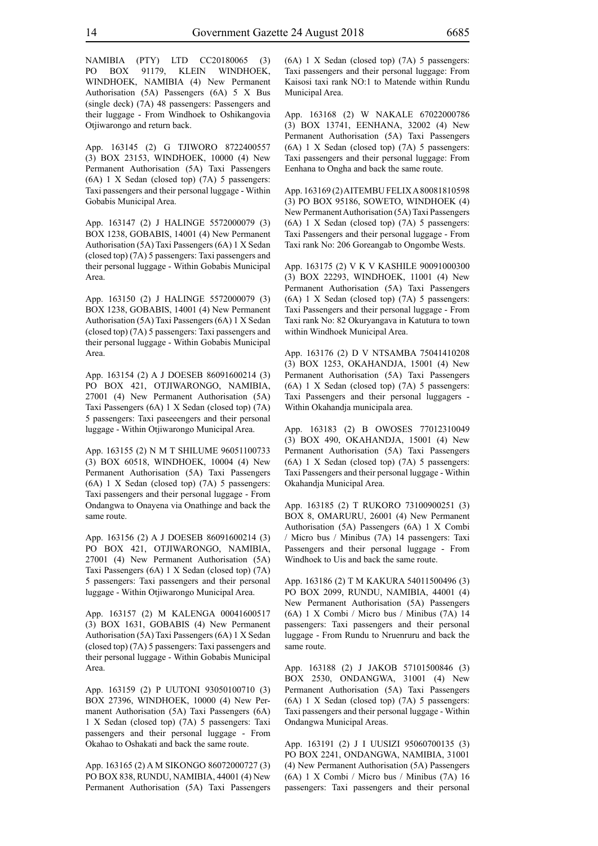NAMIBIA (PTY) LTD CC20180065 (3) PO BOX 91179, KLEIN WINDHOEK, WINDHOEK, NAMIBIA (4) New Permanent Authorisation (5A) Passengers (6A) 5 X Bus (single deck) (7A) 48 passengers: Passengers and their luggage - From Windhoek to Oshikangovia Otjiwarongo and return back.

App. 163145 (2) G TJIWORO 8722400557 (3) BOX 23153, WINDHOEK, 10000 (4) New Permanent Authorisation (5A) Taxi Passengers (6A) 1 X Sedan (closed top) (7A) 5 passengers: Taxi passengers and their personal luggage - Within Gobabis Municipal Area.

App. 163147 (2) J HALINGE 5572000079 (3) BOX 1238, GOBABIS, 14001 (4) New Permanent Authorisation (5A) Taxi Passengers (6A) 1 X Sedan (closed top) (7A) 5 passengers: Taxi passengers and their personal luggage - Within Gobabis Municipal Area.

App. 163150 (2) J HALINGE 5572000079 (3) BOX 1238, GOBABIS, 14001 (4) New Permanent Authorisation (5A) Taxi Passengers (6A) 1 X Sedan (closed top) (7A) 5 passengers: Taxi passengers and their personal luggage - Within Gobabis Municipal Area.

App. 163154 (2) A J DOESEB 86091600214 (3) PO BOX 421, OTJIWARONGO, NAMIBIA, 27001 (4) New Permanent Authorisation (5A) Taxi Passengers (6A) 1 X Sedan (closed top) (7A) 5 passengers: Taxi paseeengers and their personal luggage - Within Otjiwarongo Municipal Area.

App. 163155 (2) N M T SHILUME 96051100733 (3) BOX 60518, WINDHOEK, 10004 (4) New Permanent Authorisation (5A) Taxi Passengers (6A) 1 X Sedan (closed top) (7A) 5 passengers: Taxi passengers and their personal luggage - From Ondangwa to Onayena via Onathinge and back the same route.

App. 163156 (2) A J DOESEB 86091600214 (3) PO BOX 421, OTJIWARONGO, NAMIBIA, 27001 (4) New Permanent Authorisation (5A) Taxi Passengers (6A) 1 X Sedan (closed top) (7A) 5 passengers: Taxi passengers and their personal luggage - Within Otjiwarongo Municipal Area.

App. 163157 (2) M KALENGA 00041600517 (3) BOX 1631, GOBABIS (4) New Permanent Authorisation (5A) Taxi Passengers (6A) 1 X Sedan (closed top) (7A) 5 passengers: Taxi passengers and their personal luggage - Within Gobabis Municipal Area.

App. 163159 (2) P UUTONI 93050100710 (3) BOX 27396, WINDHOEK, 10000 (4) New Permanent Authorisation (5A) Taxi Passengers (6A) 1 X Sedan (closed top) (7A) 5 passengers: Taxi passengers and their personal luggage - From Okahao to Oshakati and back the same route.

App. 163165 (2) A M SIKONGO 86072000727 (3) PO BOX 838, RUNDU, NAMIBIA, 44001 (4) New Permanent Authorisation (5A) Taxi Passengers (6A) 1 X Sedan (closed top) (7A) 5 passengers: Taxi passengers and their personal luggage: From Kaisosi taxi rank NO:1 to Matende within Rundu Municipal Area.

App. 163168 (2) W NAKALE 67022000786 (3) BOX 13741, EENHANA, 32002 (4) New Permanent Authorisation (5A) Taxi Passengers (6A) 1 X Sedan (closed top) (7A) 5 passengers: Taxi passengers and their personal luggage: From Eenhana to Ongha and back the same route.

App. 163169 (2) AITEMBU FELIX A 80081810598 (3) PO BOX 95186, SOWETO, WINDHOEK (4) New Permanent Authorisation (5A) Taxi Passengers (6A) 1 X Sedan (closed top) (7A) 5 passengers: Taxi Passengers and their personal luggage - From Taxi rank No: 206 Goreangab to Ongombe Wests.

App. 163175 (2) V K V KASHILE 90091000300 (3) BOX 22293, WINDHOEK, 11001 (4) New Permanent Authorisation (5A) Taxi Passengers (6A) 1 X Sedan (closed top) (7A) 5 passengers: Taxi Passengers and their personal luggage - From Taxi rank No: 82 Okuryangava in Katutura to town within Windhoek Municipal Area.

App. 163176 (2) D V NTSAMBA 75041410208 (3) BOX 1253, OKAHANDJA, 15001 (4) New Permanent Authorisation (5A) Taxi Passengers (6A) 1 X Sedan (closed top) (7A) 5 passengers: Taxi Passengers and their personal luggagers - Within Okahandja municipala area.

App. 163183 (2) B OWOSES 77012310049 (3) BOX 490, OKAHANDJA, 15001 (4) New Permanent Authorisation (5A) Taxi Passengers (6A) 1 X Sedan (closed top) (7A) 5 passengers: Taxi Passengers and their personal luggage - Within Okahandja Municipal Area.

App. 163185 (2) T RUKORO 73100900251 (3) BOX 8, OMARURU, 26001 (4) New Permanent Authorisation (5A) Passengers (6A) 1 X Combi / Micro bus / Minibus (7A) 14 passengers: Taxi Passengers and their personal luggage - From Windhoek to Uis and back the same route.

App. 163186 (2) T M KAKURA 54011500496 (3) PO BOX 2099, RUNDU, NAMIBIA, 44001 (4) New Permanent Authorisation (5A) Passengers (6A) 1 X Combi / Micro bus / Minibus (7A) 14 passengers: Taxi passengers and their personal luggage - From Rundu to Nruenruru and back the same route.

App. 163188 (2) J JAKOB 57101500846 (3) BOX 2530, ONDANGWA, 31001 (4) New Permanent Authorisation (5A) Taxi Passengers (6A) 1 X Sedan (closed top) (7A) 5 passengers: Taxi passengers and their personal luggage - Within Ondangwa Municipal Areas.

App. 163191 (2) J I UUSIZI 95060700135 (3) PO BOX 2241, ONDANGWA, NAMIBIA, 31001 (4) New Permanent Authorisation (5A) Passengers (6A) 1 X Combi / Micro bus / Minibus (7A) 16 passengers: Taxi passengers and their personal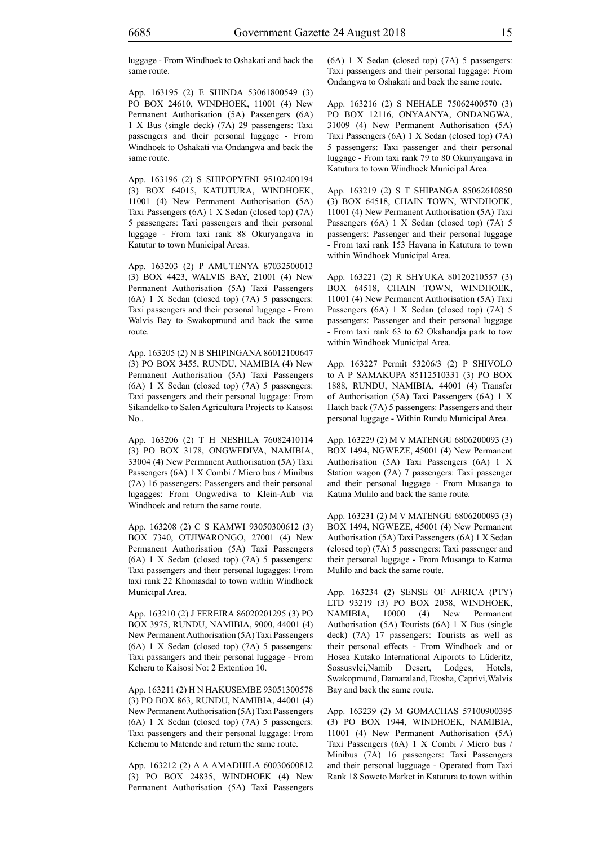luggage - From Windhoek to Oshakati and back the same route.

App. 163195 (2) E SHINDA 53061800549 (3) PO BOX 24610, WINDHOEK, 11001 (4) New Permanent Authorisation (5A) Passengers (6A) 1 X Bus (single deck) (7A) 29 passengers: Taxi passengers and their personal luggage - From Windhoek to Oshakati via Ondangwa and back the same route.

App. 163196 (2) S SHIPOPYENI 95102400194 (3) BOX 64015, KATUTURA, WINDHOEK, 11001 (4) New Permanent Authorisation (5A) Taxi Passengers (6A) 1 X Sedan (closed top) (7A) 5 passengers: Taxi passengers and their personal luggage - From taxi rank 88 Okuryangava in Katutur to town Municipal Areas.

App. 163203 (2) P AMUTENYA 87032500013 (3) BOX 4423, WALVIS BAY, 21001 (4) New Permanent Authorisation (5A) Taxi Passengers (6A) 1 X Sedan (closed top) (7A) 5 passengers: Taxi passengers and their personal luggage - From Walvis Bay to Swakopmund and back the same route.

App. 163205 (2) N B SHIPINGANA 86012100647 (3) PO BOX 3455, RUNDU, NAMIBIA (4) New Permanent Authorisation (5A) Taxi Passengers (6A) 1 X Sedan (closed top) (7A) 5 passengers: Taxi passengers and their personal luggage: From Sikandelko to Salen Agricultura Projects to Kaisosi  $N_{\Omega}$ 

App. 163206 (2) T H NESHILA 76082410114 (3) PO BOX 3178, ONGWEDIVA, NAMIBIA, 33004 (4) New Permanent Authorisation (5A) Taxi Passengers (6A) 1 X Combi / Micro bus / Minibus (7A) 16 passengers: Passengers and their personal lugagges: From Ongwediva to Klein-Aub via Windhoek and return the same route.

App. 163208 (2) C S KAMWI 93050300612 (3) BOX 7340, OTJIWARONGO, 27001 (4) New Permanent Authorisation (5A) Taxi Passengers (6A) 1 X Sedan (closed top) (7A) 5 passengers: Taxi passengers and their personal lugagges: From taxi rank 22 Khomasdal to town within Windhoek Municipal Area.

App. 163210 (2) J FEREIRA 86020201295 (3) PO BOX 3975, RUNDU, NAMIBIA, 9000, 44001 (4) New Permanent Authorisation (5A) Taxi Passengers (6A) 1 X Sedan (closed top) (7A) 5 passengers: Taxi passangers and their personal luggage - From Keheru to Kaisosi No: 2 Extention 10.

App. 163211 (2) H N HAKUSEMBE 93051300578 (3) PO BOX 863, RUNDU, NAMIBIA, 44001 (4) New Permanent Authorisation (5A) Taxi Passengers (6A) 1 X Sedan (closed top) (7A) 5 passengers: Taxi passengers and their personal luggage: From Kehemu to Matende and return the same route.

App. 163212 (2) A A AMADHILA 60030600812 (3) PO BOX 24835, WINDHOEK (4) New Permanent Authorisation (5A) Taxi Passengers (6A) 1 X Sedan (closed top) (7A) 5 passengers: Taxi passengers and their personal luggage: From Ondangwa to Oshakati and back the same route.

App. 163216 (2) S NEHALE 75062400570 (3) PO BOX 12116, ONYAANYA, ONDANGWA, 31009 (4) New Permanent Authorisation (5A) Taxi Passengers (6A) 1 X Sedan (closed top) (7A) 5 passengers: Taxi passenger and their personal luggage - From taxi rank 79 to 80 Okunyangava in Katutura to town Windhoek Municipal Area.

App. 163219 (2) S T SHIPANGA 85062610850 (3) BOX 64518, CHAIN TOWN, WINDHOEK, 11001 (4) New Permanent Authorisation (5A) Taxi Passengers (6A) 1 X Sedan (closed top) (7A) 5 passengers: Passenger and their personal luggage - From taxi rank 153 Havana in Katutura to town within Windhoek Municipal Area.

App. 163221 (2) R SHYUKA 80120210557 (3) BOX 64518, CHAIN TOWN, WINDHOEK, 11001 (4) New Permanent Authorisation (5A) Taxi Passengers (6A) 1 X Sedan (closed top) (7A) 5 passengers: Passenger and their personal luggage - From taxi rank 63 to 62 Okahandja park to tow within Windhoek Municipal Area.

App. 163227 Permit 53206/3 (2) P SHIVOLO to A P SAMAKUPA 85112510331 (3) PO BOX 1888, RUNDU, NAMIBIA, 44001 (4) Transfer of Authorisation (5A) Taxi Passengers (6A) 1 X Hatch back (7A) 5 passengers: Passengers and their personal luggage - Within Rundu Municipal Area.

App. 163229 (2) M V MATENGU 6806200093 (3) BOX 1494, NGWEZE, 45001 (4) New Permanent Authorisation (5A) Taxi Passengers (6A) 1 X Station wagon (7A) 7 passengers: Taxi passenger and their personal luggage - From Musanga to Katma Mulilo and back the same route.

App. 163231 (2) M V MATENGU 6806200093 (3) BOX 1494, NGWEZE, 45001 (4) New Permanent Authorisation (5A) Taxi Passengers (6A) 1 X Sedan (closed top) (7A) 5 passengers: Taxi passenger and their personal luggage - From Musanga to Katma Mulilo and back the same route.

App. 163234 (2) SENSE OF AFRICA (PTY) LTD 93219 (3) PO BOX 2058, WINDHOEK, NAMIBIA, 10000 (4) New Permanent Authorisation (5A) Tourists (6A) 1 X Bus (single deck) (7A) 17 passengers: Tourists as well as their personal effects - From Windhoek and or Hosea Kutako International Aiporots to Lüderitz, Sossusvlei,Namib Desert, Lodges, Hotels, Swakopmund, Damaraland, Etosha, Caprivi,Walvis Bay and back the same route.

App. 163239 (2) M GOMACHAS 57100900395 (3) PO BOX 1944, WINDHOEK, NAMIBIA, 11001 (4) New Permanent Authorisation (5A) Taxi Passengers (6A) 1 X Combi / Micro bus / Minibus (7A) 16 passengers: Taxi Passengers and their personal lugguage - Operated from Taxi Rank 18 Soweto Market in Katutura to town within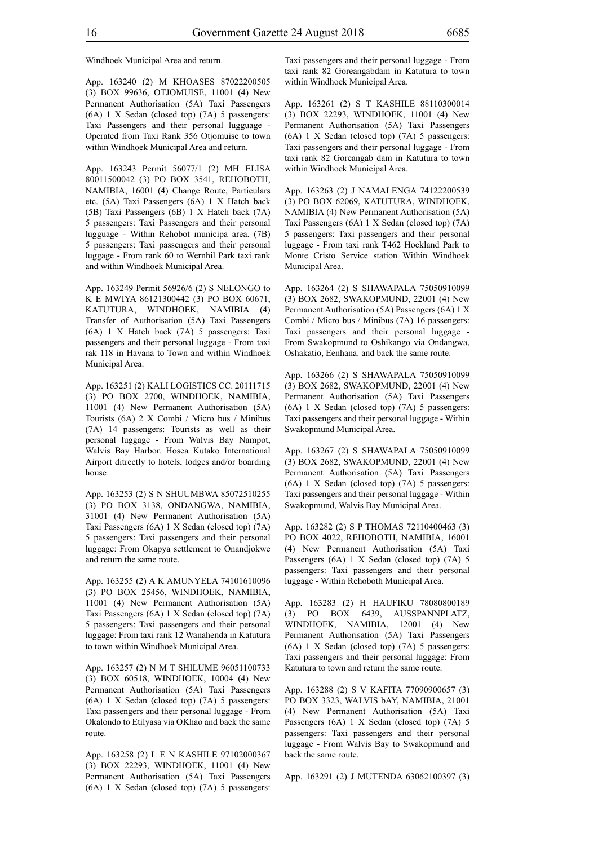Windhoek Municipal Area and return.

App. 163240 (2) M KHOASES 87022200505 (3) BOX 99636, OTJOMUISE, 11001 (4) New Permanent Authorisation (5A) Taxi Passengers (6A) 1 X Sedan (closed top) (7A) 5 passengers: Taxi Passengers and their personal lugguage - Operated from Taxi Rank 356 Otjomuise to town within Windhoek Municipal Area and return.

App. 163243 Permit 56077/1 (2) MH ELISA 80011500042 (3) PO BOX 3541, REHOBOTH, NAMIBIA, 16001 (4) Change Route, Particulars etc. (5A) Taxi Passengers (6A) 1 X Hatch back (5B) Taxi Passengers (6B) 1 X Hatch back (7A) 5 passengers: Taxi Passengers and their personal lugguage - Within Rehobot municipa area. (7B) 5 passengers: Taxi passengers and their personal luggage - From rank 60 to Wernhil Park taxi rank and within Windhoek Municipal Area.

App. 163249 Permit 56926/6 (2) S NELONGO to K E MWIYA 86121300442 (3) PO BOX 60671, KATUTURA, WINDHOEK, NAMIBIA (4) Transfer of Authorisation (5A) Taxi Passengers (6A) 1 X Hatch back (7A) 5 passengers: Taxi passengers and their personal luggage - From taxi rak 118 in Havana to Town and within Windhoek Municipal Area.

App. 163251 (2) KALI LOGISTICS CC. 20111715 (3) PO BOX 2700, WINDHOEK, NAMIBIA, 11001 (4) New Permanent Authorisation (5A) Tourists (6A) 2 X Combi / Micro bus / Minibus (7A) 14 passengers: Tourists as well as their personal luggage - From Walvis Bay Nampot, Walvis Bay Harbor. Hosea Kutako International Airport ditrectly to hotels, lodges and/or boarding house

App. 163253 (2) S N SHUUMBWA 85072510255 (3) PO BOX 3138, ONDANGWA, NAMIBIA, 31001 (4) New Permanent Authorisation (5A) Taxi Passengers (6A) 1 X Sedan (closed top) (7A) 5 passengers: Taxi passengers and their personal luggage: From Okapya settlement to Onandjokwe and return the same route.

App. 163255 (2) A K AMUNYELA 74101610096 (3) PO BOX 25456, WINDHOEK, NAMIBIA, 11001 (4) New Permanent Authorisation (5A) Taxi Passengers (6A) 1 X Sedan (closed top) (7A) 5 passengers: Taxi passengers and their personal luggage: From taxi rank 12 Wanahenda in Katutura to town within Windhoek Municipal Area.

App. 163257 (2) N M T SHILUME 96051100733 (3) BOX 60518, WINDHOEK, 10004 (4) New Permanent Authorisation (5A) Taxi Passengers (6A) 1 X Sedan (closed top) (7A) 5 passengers: Taxi passengers and their personal luggage - From Okalondo to Etilyasa via OKhao and back the same route.

App. 163258 (2) L E N KASHILE 97102000367 (3) BOX 22293, WINDHOEK, 11001 (4) New Permanent Authorisation (5A) Taxi Passengers (6A) 1 X Sedan (closed top) (7A) 5 passengers: Taxi passengers and their personal luggage - From taxi rank 82 Goreangabdam in Katutura to town within Windhoek Municipal Area.

App. 163261 (2) S T KASHILE 88110300014 (3) BOX 22293, WINDHOEK, 11001 (4) New Permanent Authorisation (5A) Taxi Passengers (6A) 1 X Sedan (closed top) (7A) 5 passengers: Taxi passengers and their personal luggage - From taxi rank 82 Goreangab dam in Katutura to town within Windhoek Municipal Area.

App. 163263 (2) J NAMALENGA 74122200539 (3) PO BOX 62069, KATUTURA, WINDHOEK, NAMIBIA (4) New Permanent Authorisation (5A) Taxi Passengers (6A) 1 X Sedan (closed top) (7A) 5 passengers: Taxi passengers and their personal luggage - From taxi rank T462 Hockland Park to Monte Cristo Service station Within Windhoek Municipal Area.

App. 163264 (2) S SHAWAPALA 75050910099 (3) BOX 2682, SWAKOPMUND, 22001 (4) New Permanent Authorisation (5A) Passengers (6A) 1 X Combi / Micro bus / Minibus (7A) 16 passengers: Taxi passengers and their personal luggage - From Swakopmund to Oshikango via Ondangwa, Oshakatio, Eenhana. and back the same route.

App. 163266 (2) S SHAWAPALA 75050910099 (3) BOX 2682, SWAKOPMUND, 22001 (4) New Permanent Authorisation (5A) Taxi Passengers (6A) 1 X Sedan (closed top) (7A) 5 passengers: Taxi passengers and their personal luggage - Within Swakopmund Municipal Area.

App. 163267 (2) S SHAWAPALA 75050910099 (3) BOX 2682, SWAKOPMUND, 22001 (4) New Permanent Authorisation (5A) Taxi Passengers (6A) 1 X Sedan (closed top) (7A) 5 passengers: Taxi passengers and their personal luggage - Within Swakopmund, Walvis Bay Municipal Area.

App. 163282 (2) S P THOMAS 72110400463 (3) PO BOX 4022, REHOBOTH, NAMIBIA, 16001 (4) New Permanent Authorisation (5A) Taxi Passengers (6A) 1 X Sedan (closed top) (7A) 5 passengers: Taxi passengers and their personal luggage - Within Rehoboth Municipal Area.

App. 163283 (2) H HAUFIKU 78080800189 (3) PO BOX 6439, AUSSPANNPLATZ, WINDHOEK, NAMIBIA, 12001 (4) New Permanent Authorisation (5A) Taxi Passengers (6A) 1 X Sedan (closed top) (7A) 5 passengers: Taxi passengers and their personal luggage: From Katutura to town and return the same route.

App. 163288 (2) S V KAFITA 77090900657 (3) PO BOX 3323, WALVIS bAY, NAMIBIA, 21001 (4) New Permanent Authorisation (5A) Taxi Passengers (6A) 1 X Sedan (closed top) (7A) 5 passengers: Taxi passengers and their personal luggage - From Walvis Bay to Swakopmund and back the same route.

App. 163291 (2) J MUTENDA 63062100397 (3)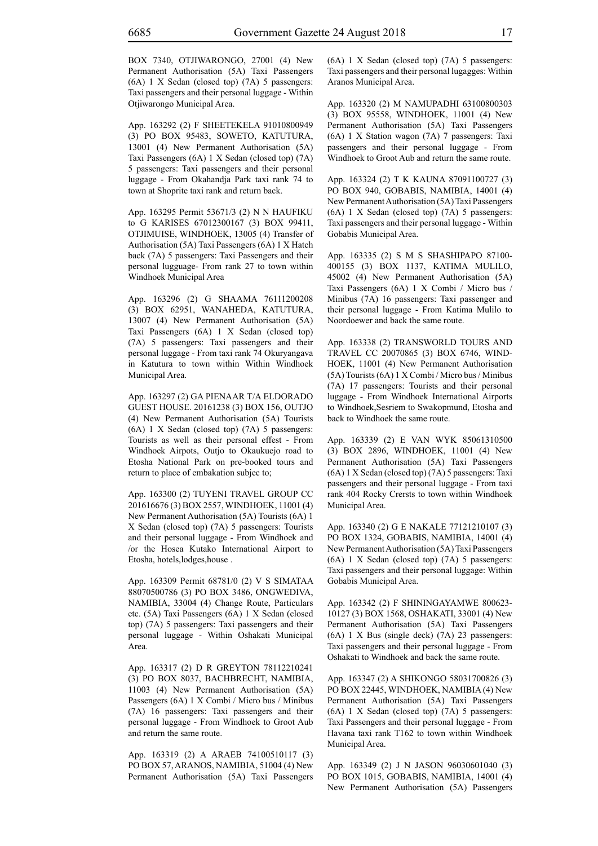BOX 7340, OTJIWARONGO, 27001 (4) New Permanent Authorisation (5A) Taxi Passengers (6A) 1 X Sedan (closed top) (7A) 5 passengers: Taxi passengers and their personal luggage - Within Otjiwarongo Municipal Area.

App. 163292 (2) F SHEETEKELA 91010800949 (3) PO BOX 95483, SOWETO, KATUTURA, 13001 (4) New Permanent Authorisation (5A) Taxi Passengers (6A) 1 X Sedan (closed top) (7A) 5 passengers: Taxi passengers and their personal luggage - From Okahandja Park taxi rank 74 to town at Shoprite taxi rank and return back.

App. 163295 Permit 53671/3 (2) N N HAUFIKU to G KARISES 67012300167 (3) BOX 99411, OTJIMUISE, WINDHOEK, 13005 (4) Transfer of Authorisation (5A) Taxi Passengers (6A) 1 X Hatch back (7A) 5 passengers: Taxi Passengers and their personal lugguage- From rank 27 to town within Windhoek Municipal Area

App. 163296 (2) G SHAAMA 76111200208 (3) BOX 62951, WANAHEDA, KATUTURA, 13007 (4) New Permanent Authorisation (5A) Taxi Passengers (6A) 1 X Sedan (closed top) (7A) 5 passengers: Taxi passengers and their personal luggage - From taxi rank 74 Okuryangava in Katutura to town within Within Windhoek Municipal Area.

App. 163297 (2) GA PIENAAR T/A ELDORADO GUEST HOUSE. 20161238 (3) BOX 156, OUTJO (4) New Permanent Authorisation (5A) Tourists (6A) 1 X Sedan (closed top) (7A) 5 passengers: Tourists as well as their personal effest - From Windhoek Airpots, Outjo to Okaukuejo road to Etosha National Park on pre-booked tours and return to place of embakation subjec to;

App. 163300 (2) TUYENI TRAVEL GROUP CC 201616676 (3) BOX 2557, WINDHOEK, 11001 (4) New Permanent Authorisation (5A) Tourists (6A) 1 X Sedan (closed top) (7A) 5 passengers: Tourists and their personal luggage - From Windhoek and /or the Hosea Kutako International Airport to Etosha, hotels,lodges,house .

App. 163309 Permit 68781/0 (2) V S SIMATAA 88070500786 (3) PO BOX 3486, ONGWEDIVA, NAMIBIA, 33004 (4) Change Route, Particulars etc. (5A) Taxi Passengers (6A) 1 X Sedan (closed top) (7A) 5 passengers: Taxi passengers and their personal luggage - Within Oshakati Municipal Area.

App. 163317 (2) D R GREYTON 78112210241 (3) PO BOX 8037, BACHBRECHT, NAMIBIA, 11003 (4) New Permanent Authorisation (5A) Passengers (6A) 1 X Combi / Micro bus / Minibus (7A) 16 passengers: Taxi passengers and their personal luggage - From Windhoek to Groot Aub and return the same route.

App. 163319 (2) A ARAEB 74100510117 (3) PO BOX 57, ARANOS, NAMIBIA, 51004 (4) New Permanent Authorisation (5A) Taxi Passengers (6A) 1 X Sedan (closed top) (7A) 5 passengers: Taxi passengers and their personal lugagges: Within Aranos Municipal Area.

App. 163320 (2) M NAMUPADHI 63100800303 (3) BOX 95558, WINDHOEK, 11001 (4) New Permanent Authorisation (5A) Taxi Passengers (6A) 1 X Station wagon (7A) 7 passengers: Taxi passengers and their personal luggage - From Windhoek to Groot Aub and return the same route.

App. 163324 (2) T K KAUNA 87091100727 (3) PO BOX 940, GOBABIS, NAMIBIA, 14001 (4) New Permanent Authorisation (5A) Taxi Passengers (6A) 1 X Sedan (closed top) (7A) 5 passengers: Taxi passengers and their personal luggage - Within Gobabis Municipal Area.

App. 163335 (2) S M S SHASHIPAPO 87100- 400155 (3) BOX 1137, KATIMA MULILO, 45002 (4) New Permanent Authorisation (5A) Taxi Passengers (6A) 1 X Combi / Micro bus / Minibus (7A) 16 passengers: Taxi passenger and their personal luggage - From Katima Mulilo to Noordoewer and back the same route.

App. 163338 (2) TRANSWORLD TOURS AND TRAVEL CC 20070865 (3) BOX 6746, WIND-HOEK, 11001 (4) New Permanent Authorisation (5A) Tourists (6A) 1 X Combi / Micro bus / Minibus (7A) 17 passengers: Tourists and their personal luggage - From Windhoek International Airports to Windhoek,Sesriem to Swakopmund, Etosha and back to Windhoek the same route.

App. 163339 (2) E VAN WYK 85061310500 (3) BOX 2896, WINDHOEK, 11001 (4) New Permanent Authorisation (5A) Taxi Passengers (6A) 1 X Sedan (closed top) (7A) 5 passengers: Taxi passengers and their personal luggage - From taxi rank 404 Rocky Crersts to town within Windhoek Municipal Area.

App. 163340 (2) G E NAKALE 77121210107 (3) PO BOX 1324, GOBABIS, NAMIBIA, 14001 (4) New Permanent Authorisation (5A) Taxi Passengers (6A) 1 X Sedan (closed top) (7A) 5 passengers: Taxi passengers and their personal luggage: Within Gobabis Municipal Area.

App. 163342 (2) F SHININGAYAMWE 800623- 10127 (3) BOX 1568, OSHAKATI, 33001 (4) New Permanent Authorisation (5A) Taxi Passengers (6A) 1 X Bus (single deck) (7A) 23 passengers: Taxi passengers and their personal luggage - From Oshakati to Windhoek and back the same route.

App. 163347 (2) A SHIKONGO 58031700826 (3) PO BOX 22445, WINDHOEK, NAMIBIA (4) New Permanent Authorisation (5A) Taxi Passengers (6A) 1 X Sedan (closed top) (7A) 5 passengers: Taxi Passengers and their personal luggage - From Havana taxi rank T162 to town within Windhoek Municipal Area.

App. 163349 (2) J N JASON 96030601040 (3) PO BOX 1015, GOBABIS, NAMIBIA, 14001 (4) New Permanent Authorisation (5A) Passengers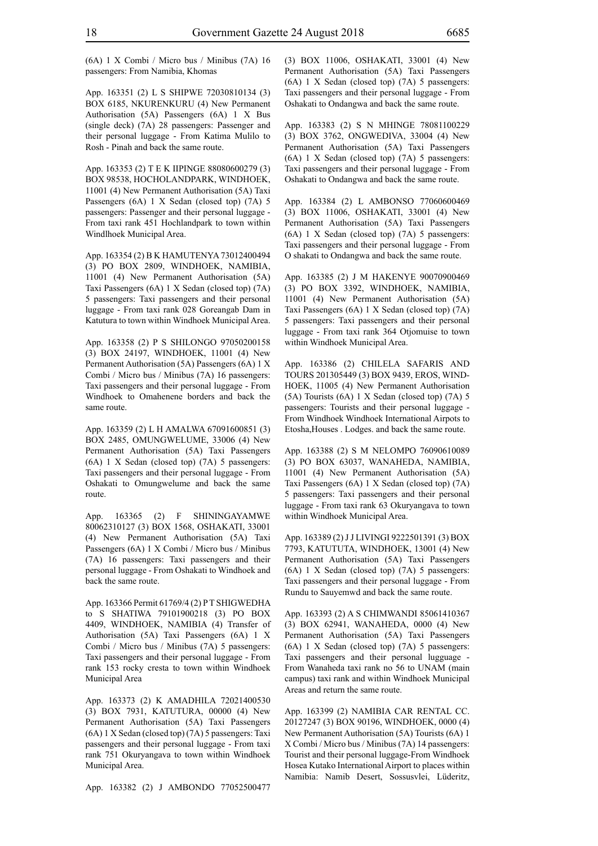(6A) 1 X Combi / Micro bus / Minibus (7A) 16 passengers: From Namibia, Khomas

App. 163351 (2) L S SHIPWE 72030810134 (3) BOX 6185, NKURENKURU (4) New Permanent Authorisation (5A) Passengers (6A) 1 X Bus (single deck) (7A) 28 passengers: Passenger and their personal luggage - From Katima Mulilo to Rosh - Pinah and back the same route.

App. 163353 (2) T E K IIPINGE 88080600279 (3) BOX 98538, HOCHOLANDPARK, WINDHOEK, 11001 (4) New Permanent Authorisation (5A) Taxi Passengers (6A) 1 X Sedan (closed top) (7A) 5 passengers: Passenger and their personal luggage - From taxi rank 451 Hochlandpark to town within Windlhoek Municipal Area.

App. 163354 (2) B K HAMUTENYA 73012400494 (3) PO BOX 2809, WINDHOEK, NAMIBIA, 11001 (4) New Permanent Authorisation (5A) Taxi Passengers (6A) 1 X Sedan (closed top) (7A) 5 passengers: Taxi passengers and their personal luggage - From taxi rank 028 Goreangab Dam in Katutura to town within Windhoek Municipal Area.

App. 163358 (2) P S SHILONGO 97050200158 (3) BOX 24197, WINDHOEK, 11001 (4) New Permanent Authorisation (5A) Passengers (6A) 1 X Combi / Micro bus / Minibus (7A) 16 passengers: Taxi passengers and their personal luggage - From Windhoek to Omahenene borders and back the same route.

App. 163359 (2) L H AMALWA 67091600851 (3) BOX 2485, OMUNGWELUME, 33006 (4) New Permanent Authorisation (5A) Taxi Passengers (6A) 1 X Sedan (closed top) (7A) 5 passengers: Taxi passengers and their personal luggage - From Oshakati to Omungwelume and back the same route.

App. 163365 (2) F SHININGAYAMWE 80062310127 (3) BOX 1568, OSHAKATI, 33001 (4) New Permanent Authorisation (5A) Taxi Passengers (6A) 1 X Combi / Micro bus / Minibus (7A) 16 passengers: Taxi passengers and their personal luggage - From Oshakati to Windhoek and back the same route.

App. 163366 Permit 61769/4 (2) P T SHIGWEDHA to S SHATIWA 79101900218 (3) PO BOX 4409, WINDHOEK, NAMIBIA (4) Transfer of Authorisation (5A) Taxi Passengers (6A) 1 X Combi / Micro bus / Minibus (7A) 5 passengers: Taxi passengers and their personal luggage - From rank 153 rocky cresta to town within Windhoek Municipal Area

App. 163373 (2) K AMADHILA 72021400530 (3) BOX 7931, KATUTURA, 00000 (4) New Permanent Authorisation (5A) Taxi Passengers (6A) 1 X Sedan (closed top) (7A) 5 passengers: Taxi passengers and their personal luggage - From taxi rank 751 Okuryangava to town within Windhoek Municipal Area.

App. 163382 (2) J AMBONDO 77052500477

(3) BOX 11006, OSHAKATI, 33001 (4) New Permanent Authorisation (5A) Taxi Passengers (6A) 1 X Sedan (closed top) (7A) 5 passengers: Taxi passengers and their personal luggage - From Oshakati to Ondangwa and back the same route.

App. 163383 (2) S N MHINGE 78081100229 (3) BOX 3762, ONGWEDIVA, 33004 (4) New Permanent Authorisation (5A) Taxi Passengers (6A) 1 X Sedan (closed top) (7A) 5 passengers: Taxi passengers and their personal luggage - From Oshakati to Ondangwa and back the same route.

App. 163384 (2) L AMBONSO 77060600469 (3) BOX 11006, OSHAKATI, 33001 (4) New Permanent Authorisation (5A) Taxi Passengers (6A) 1 X Sedan (closed top) (7A) 5 passengers: Taxi passengers and their personal luggage - From O shakati to Ondangwa and back the same route.

App. 163385 (2) J M HAKENYE 90070900469 (3) PO BOX 3392, WINDHOEK, NAMIBIA, 11001 (4) New Permanent Authorisation (5A) Taxi Passengers (6A) 1 X Sedan (closed top) (7A) 5 passengers: Taxi passengers and their personal luggage - From taxi rank 364 Otjomuise to town within Windhoek Municipal Area.

App. 163386 (2) CHILELA SAFARIS AND TOURS 201305449 (3) BOX 9439, EROS, WIND-HOEK, 11005 (4) New Permanent Authorisation (5A) Tourists (6A) 1 X Sedan (closed top) (7A) 5 passengers: Tourists and their personal luggage - From Windhoek Windhoek International Airpots to Etosha,Houses . Lodges. and back the same route.

App. 163388 (2) S M NELOMPO 76090610089 (3) PO BOX 63037, WANAHEDA, NAMIBIA, 11001 (4) New Permanent Authorisation (5A) Taxi Passengers (6A) 1 X Sedan (closed top) (7A) 5 passengers: Taxi passengers and their personal luggage - From taxi rank 63 Okuryangava to town within Windhoek Municipal Area.

App. 163389 (2) J J LIVINGI 9222501391 (3) BOX 7793, KATUTUTA, WINDHOEK, 13001 (4) New Permanent Authorisation (5A) Taxi Passengers (6A) 1 X Sedan (closed top) (7A) 5 passengers: Taxi passengers and their personal luggage - From Rundu to Sauyemwd and back the same route.

App. 163393 (2) A S CHIMWANDI 85061410367 (3) BOX 62941, WANAHEDA, 0000 (4) New Permanent Authorisation (5A) Taxi Passengers (6A) 1 X Sedan (closed top) (7A) 5 passengers: Taxi passengers and their personal lugguage - From Wanaheda taxi rank no 56 to UNAM (main campus) taxi rank and within Windhoek Municipal Areas and return the same route.

App. 163399 (2) NAMIBIA CAR RENTAL CC. 20127247 (3) BOX 90196, WINDHOEK, 0000 (4) New Permanent Authorisation (5A) Tourists (6A) 1 X Combi / Micro bus / Minibus (7A) 14 passengers: Tourist and their personal luggage-From Windhoek Hosea Kutako International Airport to places within Namibia: Namib Desert, Sossusvlei, Lüderitz,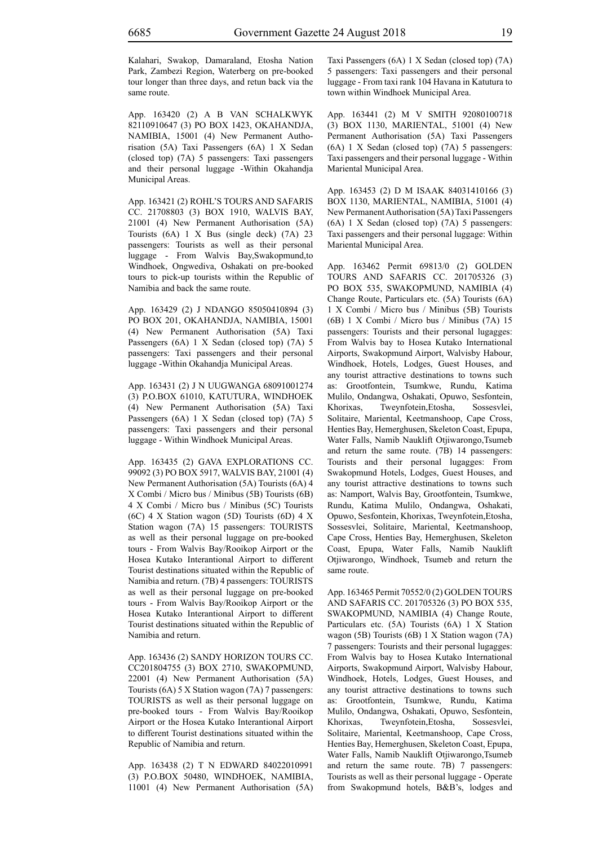Kalahari, Swakop, Damaraland, Etosha Nation Park, Zambezi Region, Waterberg on pre-booked tour longer than three days, and retun back via the same route.

App. 163420 (2) A B VAN SCHALKWYK 82110910647 (3) PO BOX 1423, OKAHANDJA, NAMIBIA, 15001 (4) New Permanent Authorisation (5A) Taxi Passengers (6A) 1 X Sedan (closed top) (7A) 5 passengers: Taxi passengers and their personal luggage -Within Okahandja Municipal Areas.

App. 163421 (2) ROHL'S TOURS AND SAFARIS CC. 21708803 (3) BOX 1910, WALVIS BAY, 21001 (4) New Permanent Authorisation (5A) Tourists (6A) 1 X Bus (single deck) (7A) 23 passengers: Tourists as well as their personal luggage - From Walvis Bay,Swakopmund,to Windhoek, Ongwediva, Oshakati on pre-booked tours to pick-up tourists within the Republic of Namibia and back the same route.

App. 163429 (2) J NDANGO 85050410894 (3) PO BOX 201, OKAHANDJA, NAMIBIA, 15001 (4) New Permanent Authorisation (5A) Taxi Passengers (6A) 1 X Sedan (closed top) (7A) 5 passengers: Taxi passengers and their personal luggage -Within Okahandja Municipal Areas.

App. 163431 (2) J N UUGWANGA 68091001274 (3) P.O.BOX 61010, KATUTURA, WINDHOEK (4) New Permanent Authorisation (5A) Taxi Passengers (6A) 1 X Sedan (closed top) (7A) 5 passengers: Taxi passengers and their personal luggage - Within Windhoek Municipal Areas.

App. 163435 (2) GAVA EXPLORATIONS CC. 99092 (3) PO BOX 5917, WALVIS BAY, 21001 (4) New Permanent Authorisation (5A) Tourists (6A) 4 X Combi / Micro bus / Minibus (5B) Tourists (6B) 4 X Combi / Micro bus / Minibus (5C) Tourists (6C) 4 X Station wagon (5D) Tourists (6D) 4 X Station wagon (7A) 15 passengers: TOURISTS as well as their personal luggage on pre-booked tours - From Walvis Bay/Rooikop Airport or the Hosea Kutako Interantional Airport to different Tourist destinations situated within the Republic of Namibia and return. (7B) 4 passengers: TOURISTS as well as their personal luggage on pre-booked tours - From Walvis Bay/Rooikop Airport or the Hosea Kutako Interantional Airport to different Tourist destinations situated within the Republic of Namibia and return.

App. 163436 (2) SANDY HORIZON TOURS CC. CC201804755 (3) BOX 2710, SWAKOPMUND, 22001 (4) New Permanent Authorisation (5A) Tourists (6A) 5 X Station wagon (7A) 7 passengers: TOURISTS as well as their personal luggage on pre-booked tours - From Walvis Bay/Rooikop Airport or the Hosea Kutako Interantional Airport to different Tourist destinations situated within the Republic of Namibia and return.

App. 163438 (2) T N EDWARD 84022010991 (3) P.O.BOX 50480, WINDHOEK, NAMIBIA, 11001 (4) New Permanent Authorisation (5A) Taxi Passengers (6A) 1 X Sedan (closed top) (7A) 5 passengers: Taxi passengers and their personal luggage - From taxi rank 104 Havana in Katutura to town within Windhoek Municipal Area.

App. 163441 (2) M V SMITH 92080100718 (3) BOX 1130, MARIENTAL, 51001 (4) New Permanent Authorisation (5A) Taxi Passengers (6A) 1 X Sedan (closed top) (7A) 5 passengers: Taxi passengers and their personal luggage - Within Mariental Municipal Area.

App. 163453 (2) D M ISAAK 84031410166 (3) BOX 1130, MARIENTAL, NAMIBIA, 51001 (4) New Permanent Authorisation (5A) Taxi Passengers (6A) 1 X Sedan (closed top) (7A) 5 passengers: Taxi passengers and their personal luggage: Within Mariental Municipal Area.

App. 163462 Permit 69813/0 (2) GOLDEN TOURS AND SAFARIS CC. 201705326 (3) PO BOX 535, SWAKOPMUND, NAMIBIA (4) Change Route, Particulars etc. (5A) Tourists (6A) 1 X Combi / Micro bus / Minibus (5B) Tourists (6B) 1 X Combi / Micro bus / Minibus (7A) 15 passengers: Tourists and their personal lugagges: From Walvis bay to Hosea Kutako International Airports, Swakopmund Airport, Walvisby Habour, Windhoek, Hotels, Lodges, Guest Houses, and any tourist attractive destinations to towns such as: Grootfontein, Tsumkwe, Rundu, Katima Mulilo, Ondangwa, Oshakati, Opuwo, Sesfontein, Khorixas, Tweynfotein,Etosha, Sossesvlei, Solitaire, Mariental, Keetmanshoop, Cape Cross, Henties Bay, Hemerghusen, Skeleton Coast, Epupa, Water Falls, Namib Nauklift Otjiwarongo,Tsumeb and return the same route. (7B) 14 passengers: Tourists and their personal lugagges: From Swakopmund Hotels, Lodges, Guest Houses, and any tourist attractive destinations to towns such as: Namport, Walvis Bay, Grootfontein, Tsumkwe, Rundu, Katima Mulilo, Ondangwa, Oshakati, Opuwo, Sesfontein, Khorixas, Tweynfotein,Etosha, Sossesvlei, Solitaire, Mariental, Keetmanshoop, Cape Cross, Henties Bay, Hemerghusen, Skeleton Coast, Epupa, Water Falls, Namib Nauklift Otjiwarongo, Windhoek, Tsumeb and return the same route.

App. 163465 Permit 70552/0 (2) GOLDEN TOURS AND SAFARIS CC. 201705326 (3) PO BOX 535, SWAKOPMUND, NAMIBIA (4) Change Route, Particulars etc. (5A) Tourists (6A) 1 X Station wagon (5B) Tourists (6B) 1 X Station wagon (7A) 7 passengers: Tourists and their personal lugagges: From Walvis bay to Hosea Kutako International Airports, Swakopmund Airport, Walvisby Habour, Windhoek, Hotels, Lodges, Guest Houses, and any tourist attractive destinations to towns such as: Grootfontein, Tsumkwe, Rundu, Katima Mulilo, Ondangwa, Oshakati, Opuwo, Sesfontein, Khorixas, Tweynfotein,Etosha, Sossesvlei, Solitaire, Mariental, Keetmanshoop, Cape Cross, Henties Bay, Hemerghusen, Skeleton Coast, Epupa, Water Falls, Namib Nauklift Otjiwarongo,Tsumeb and return the same route. 7B) 7 passengers: Tourists as well as their personal luggage - Operate from Swakopmund hotels, B&B's, lodges and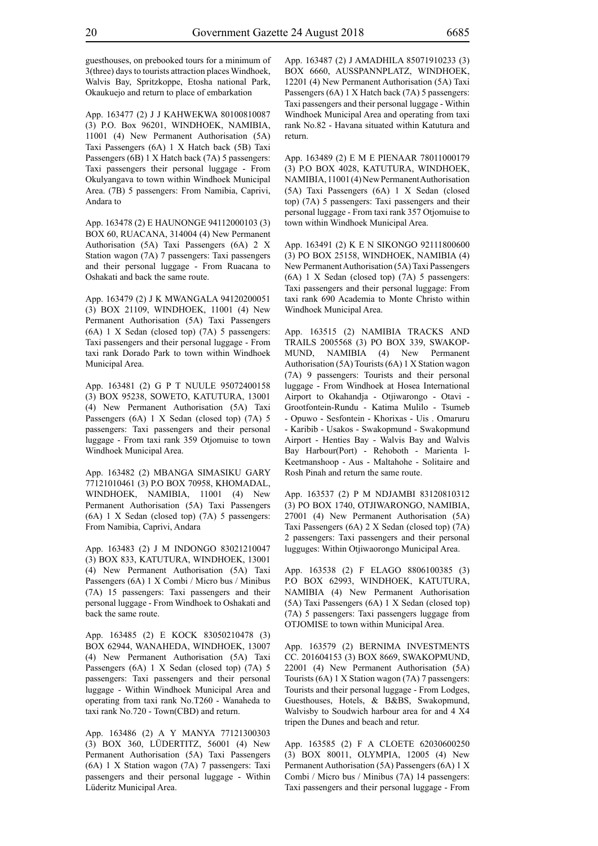guesthouses, on prebooked tours for a minimum of 3(three) days to tourists attraction places Windhoek, Walvis Bay, Spritzkoppe, Etosha national Park, Okaukuejo and return to place of embarkation

App. 163477 (2) J J KAHWEKWA 80100810087 (3) P.O. Box 96201, WINDHOEK, NAMIBIA, 11001 (4) New Permanent Authorisation (5A) Taxi Passengers (6A) 1 X Hatch back (5B) Taxi Passengers (6B) 1 X Hatch back (7A) 5 passengers: Taxi passengers their personal luggage - From Okulyangava to town within Windhoek Municipal Area. (7B) 5 passengers: From Namibia, Caprivi, Andara to

App. 163478 (2) E HAUNONGE 94112000103 (3) BOX 60, RUACANA, 314004 (4) New Permanent Authorisation (5A) Taxi Passengers (6A) 2 X Station wagon (7A) 7 passengers: Taxi passengers and their personal luggage - From Ruacana to Oshakati and back the same route.

App. 163479 (2) J K MWANGALA 94120200051 (3) BOX 21109, WINDHOEK, 11001 (4) New Permanent Authorisation (5A) Taxi Passengers (6A) 1 X Sedan (closed top) (7A) 5 passengers: Taxi passengers and their personal luggage - From taxi rank Dorado Park to town within Windhoek Municipal Area.

App. 163481 (2) G P T NUULE 95072400158 (3) BOX 95238, SOWETO, KATUTURA, 13001 (4) New Permanent Authorisation (5A) Taxi Passengers (6A) 1 X Sedan (closed top) (7A) 5 passengers: Taxi passengers and their personal luggage - From taxi rank 359 Otjomuise to town Windhoek Municipal Area.

App. 163482 (2) MBANGA SIMASIKU GARY 77121010461 (3) P.O BOX 70958, KHOMADAL, WINDHOEK, NAMIBIA, 11001 (4) New Permanent Authorisation (5A) Taxi Passengers (6A) 1 X Sedan (closed top) (7A) 5 passengers: From Namibia, Caprivi, Andara

App. 163483 (2) J M INDONGO 83021210047 (3) BOX 833, KATUTURA, WINDHOEK, 13001 (4) New Permanent Authorisation (5A) Taxi Passengers (6A) 1 X Combi / Micro bus / Minibus (7A) 15 passengers: Taxi passengers and their personal luggage - From Windhoek to Oshakati and back the same route.

App. 163485 (2) E KOCK 83050210478 (3) BOX 62944, WANAHEDA, WINDHOEK, 13007 (4) New Permanent Authorisation (5A) Taxi Passengers (6A) 1 X Sedan (closed top) (7A) 5 passengers: Taxi passengers and their personal luggage - Within Windhoek Municipal Area and operating from taxi rank No.T260 - Wanaheda to taxi rank No.720 - Town(CBD) and return.

App. 163486 (2) A Y MANYA 77121300303 (3) BOX 360, LÜDERTITZ, 56001 (4) New Permanent Authorisation (5A) Taxi Passengers (6A) 1 X Station wagon (7A) 7 passengers: Taxi passengers and their personal luggage - Within Lüderitz Municipal Area.

App. 163487 (2) J AMADHILA 85071910233 (3) BOX 6660, AUSSPANNPLATZ, WINDHOEK, 12201 (4) New Permanent Authorisation (5A) Taxi Passengers (6A) 1 X Hatch back (7A) 5 passengers: Taxi passengers and their personal luggage - Within Windhoek Municipal Area and operating from taxi rank No.82 - Havana situated within Katutura and return.

App. 163489 (2) E M E PIENAAR 78011000179 (3) P.O BOX 4028, KATUTURA, WINDHOEK, NAMIBIA, 11001 (4) New Permanent Authorisation (5A) Taxi Passengers (6A) 1 X Sedan (closed top) (7A) 5 passengers: Taxi passengers and their personal luggage - From taxi rank 357 Otjomuise to town within Windhoek Municipal Area.

App. 163491 (2) K E N SIKONGO 92111800600 (3) PO BOX 25158, WINDHOEK, NAMIBIA (4) New Permanent Authorisation (5A) Taxi Passengers (6A) 1 X Sedan (closed top) (7A) 5 passengers: Taxi passengers and their personal luggage: From taxi rank 690 Academia to Monte Christo within Windhoek Municipal Area.

App. 163515 (2) NAMIBIA TRACKS AND TRAILS 2005568 (3) PO BOX 339, SWAKOP-MUND, NAMIBIA (4) New Permanent Authorisation (5A) Tourists (6A) 1 X Station wagon (7A) 9 passengers: Tourists and their personal luggage - From Windhoek at Hosea International Airport to Okahandja - Otjiwarongo - Otavi - Grootfontein-Rundu - Katima Mulilo - Tsumeb - Opuwo - Sesfontein - Khorixas - Uis . Omaruru - Karibib - Usakos - Swakopmund - Swakopmund Airport - Henties Bay - Walvis Bay and Walvis Bay Harbour(Port) - Rehoboth - Marienta l-Keetmanshoop - Aus - Maltahohe - Solitaire and Rosh Pinah and return the same route.

App. 163537 (2) P M NDJAMBI 83120810312 (3) PO BOX 1740, OTJIWARONGO, NAMIBIA, 27001 (4) New Permanent Authorisation (5A) Taxi Passengers (6A) 2 X Sedan (closed top) (7A) 2 passengers: Taxi passengers and their personal lugguges: Within Otjiwaorongo Municipal Area.

App. 163538 (2) F ELAGO 8806100385 (3) P.O BOX 62993, WINDHOEK, KATUTURA, NAMIBIA (4) New Permanent Authorisation (5A) Taxi Passengers (6A) 1 X Sedan (closed top) (7A) 5 passengers: Taxi passengers luggage from OTJOMISE to town within Municipal Area.

App. 163579 (2) BERNIMA INVESTMENTS CC. 201604153 (3) BOX 8669, SWAKOPMUND, 22001 (4) New Permanent Authorisation (5A) Tourists (6A) 1 X Station wagon (7A) 7 passengers: Tourists and their personal luggage - From Lodges, Guesthouses, Hotels, & B&BS, Swakopmund, Walvisby to Soudwich harbour area for and 4 X4 tripen the Dunes and beach and retur.

App. 163585 (2) F A CLOETE 62030600250 (3) BOX 80011, OLYMPIA, 12005 (4) New Permanent Authorisation (5A) Passengers (6A) 1 X Combi / Micro bus / Minibus (7A) 14 passengers: Taxi passengers and their personal luggage - From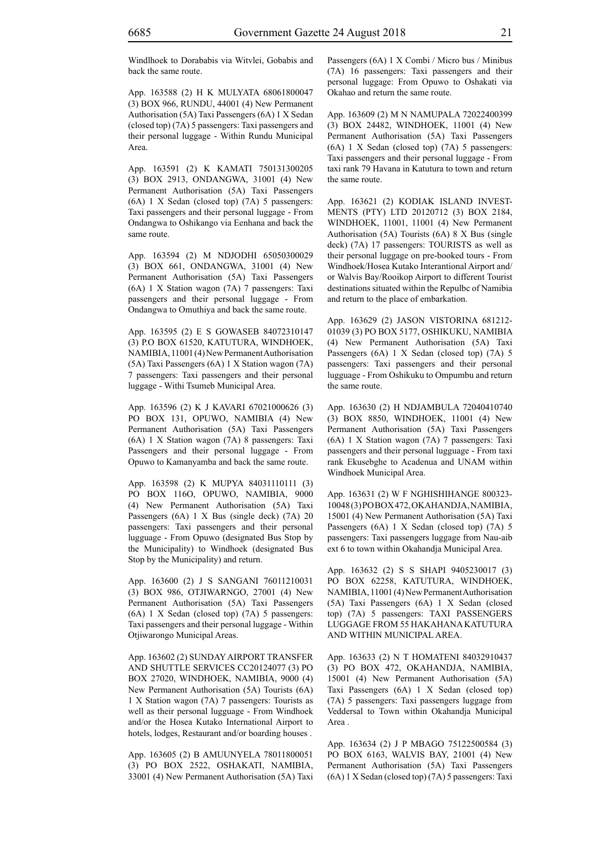Windlhoek to Dorababis via Witvlei, Gobabis and back the same route.

App. 163588 (2) H K MULYATA 68061800047 (3) BOX 966, RUNDU, 44001 (4) New Permanent Authorisation (5A) Taxi Passengers (6A) 1 X Sedan (closed top) (7A) 5 passengers: Taxi passengers and their personal luggage - Within Rundu Municipal Area.

App. 163591 (2) K KAMATI 750131300205 (3) BOX 2913, ONDANGWA, 31001 (4) New Permanent Authorisation (5A) Taxi Passengers (6A) 1 X Sedan (closed top) (7A) 5 passengers: Taxi passengers and their personal luggage - From Ondangwa to Oshikango via Eenhana and back the same route.

App. 163594 (2) M NDJODHI 65050300029 (3) BOX 661, ONDANGWA, 31001 (4) New Permanent Authorisation (5A) Taxi Passengers (6A) 1 X Station wagon (7A) 7 passengers: Taxi passengers and their personal luggage - From Ondangwa to Omuthiya and back the same route.

App. 163595 (2) E S GOWASEB 84072310147 (3) P.O BOX 61520, KATUTURA, WINDHOEK, NAMIBIA, 11001 (4) New Permanent Authorisation (5A) Taxi Passengers (6A) 1 X Station wagon (7A) 7 passengers: Taxi passengers and their personal luggage - Withi Tsumeb Municipal Area.

App. 163596 (2) K J KAVARI 67021000626 (3) PO BOX 131, OPUWO, NAMIBIA (4) New Permanent Authorisation (5A) Taxi Passengers (6A) 1 X Station wagon (7A) 8 passengers: Taxi Passengers and their personal luggage - From Opuwo to Kamanyamba and back the same route.

App. 163598 (2) K MUPYA 84031110111 (3) PO BOX 116O, OPUWO, NAMIBIA, 9000 (4) New Permanent Authorisation (5A) Taxi Passengers (6A) 1 X Bus (single deck) (7A) 20 passengers: Taxi passengers and their personal lugguage - From Opuwo (designated Bus Stop by the Municipality) to Windhoek (designated Bus Stop by the Municipality) and return.

App. 163600 (2) J S SANGANI 76011210031 (3) BOX 986, OTJIWARNGO, 27001 (4) New Permanent Authorisation (5A) Taxi Passengers (6A) 1 X Sedan (closed top) (7A) 5 passengers: Taxi passengers and their personal luggage - Within Otjiwarongo Municipal Areas.

App. 163602 (2) SUNDAY AIRPORT TRANSFER AND SHUTTLE SERVICES CC20124077 (3) PO BOX 27020, WINDHOEK, NAMIBIA, 9000 (4) New Permanent Authorisation (5A) Tourists (6A) 1 X Station wagon (7A) 7 passengers: Tourists as well as their personal lugguage - From Windhoek and/or the Hosea Kutako International Airport to hotels, lodges, Restaurant and/or boarding houses .

App. 163605 (2) B AMUUNYELA 78011800051 (3) PO BOX 2522, OSHAKATI, NAMIBIA, 33001 (4) New Permanent Authorisation (5A) Taxi Passengers (6A) 1 X Combi / Micro bus / Minibus (7A) 16 passengers: Taxi passengers and their personal luggage: From Opuwo to Oshakati via Okahao and return the same route.

App. 163609 (2) M N NAMUPALA 72022400399 (3) BOX 24482, WINDHOEK, 11001 (4) New Permanent Authorisation (5A) Taxi Passengers (6A) 1 X Sedan (closed top) (7A) 5 passengers: Taxi passengers and their personal luggage - From taxi rank 79 Havana in Katutura to town and return the same route.

App. 163621 (2) KODIAK ISLAND INVEST-MENTS (PTY) LTD 20120712 (3) BOX 2184, WINDHOEK, 11001, 11001 (4) New Permanent Authorisation (5A) Tourists (6A) 8 X Bus (single deck) (7A) 17 passengers: TOURISTS as well as their personal luggage on pre-booked tours - From Windhoek/Hosea Kutako Interantional Airport and/ or Walvis Bay/Rooikop Airport to different Tourist destinations situated within the Repulbc of Namibia and return to the place of embarkation.

App. 163629 (2) JASON VISTORINA 681212- 01039 (3) PO BOX 5177, OSHIKUKU, NAMIBIA (4) New Permanent Authorisation (5A) Taxi Passengers (6A) 1 X Sedan (closed top) (7A) 5 passengers: Taxi passengers and their personal lugguage - From Oshikuku to Ompumbu and return the same route.

App. 163630 (2) H NDJAMBULA 72040410740 (3) BOX 8850, WINDHOEK, 11001 (4) New Permanent Authorisation (5A) Taxi Passengers (6A) 1 X Station wagon (7A) 7 passengers: Taxi passengers and their personal lugguage - From taxi rank Ekusebghe to Acadenua and UNAM within Windhoek Municipal Area.

App. 163631 (2) W F NGHISHIHANGE 800323- 10048 (3) PO BOX 472, OKAHANDJA, NAMIBIA, 15001 (4) New Permanent Authorisation (5A) Taxi Passengers (6A) 1 X Sedan (closed top) (7A) 5 passengers: Taxi passengers luggage from Nau-aib ext 6 to town within Okahandja Municipal Area.

App. 163632 (2) S S SHAPI 9405230017 (3) PO BOX 62258, KATUTURA, WINDHOEK, NAMIBIA, 11001 (4) New Permanent Authorisation (5A) Taxi Passengers (6A) 1 X Sedan (closed top) (7A) 5 passengers: TAXI PASSENGERS LUGGAGE FROM 55 HAKAHANA KATUTURA AND WITHIN MUNICIPAL AREA.

App. 163633 (2) N T HOMATENI 84032910437 (3) PO BOX 472, OKAHANDJA, NAMIBIA, 15001 (4) New Permanent Authorisation (5A) Taxi Passengers (6A) 1 X Sedan (closed top) (7A) 5 passengers: Taxi passengers luggage from Veddersal to Town within Okahandja Municipal Area .

App. 163634 (2) J P MBAGO 75122500584 (3) PO BOX 6163, WALVIS BAY, 21001 (4) New Permanent Authorisation (5A) Taxi Passengers (6A) 1 X Sedan (closed top) (7A) 5 passengers: Taxi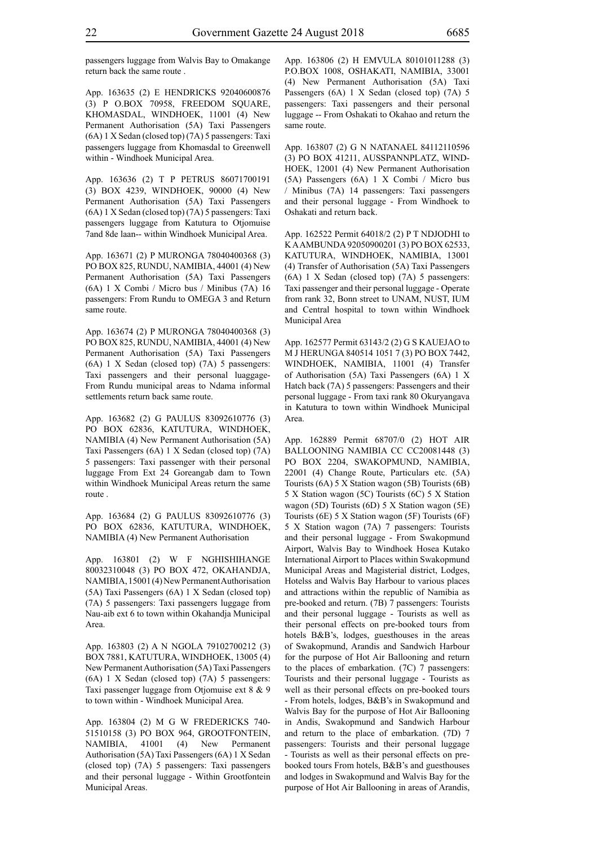passengers luggage from Walvis Bay to Omakange return back the same route .

App. 163635 (2) E HENDRICKS 92040600876 (3) P O.BOX 70958, FREEDOM SQUARE, KHOMASDAL, WINDHOEK, 11001 (4) New Permanent Authorisation (5A) Taxi Passengers (6A) 1 X Sedan (closed top) (7A) 5 passengers: Taxi passengers luggage from Khomasdal to Greenwell within - Windhoek Municipal Area.

App. 163636 (2) T P PETRUS 86071700191 (3) BOX 4239, WINDHOEK, 90000 (4) New Permanent Authorisation (5A) Taxi Passengers (6A) 1 X Sedan (closed top) (7A) 5 passengers: Taxi passengers luggage from Katutura to Otjomuise 7and 8de laan-- within Windhoek Municipal Area.

App. 163671 (2) P MURONGA 78040400368 (3) PO BOX 825, RUNDU, NAMIBIA, 44001 (4) New Permanent Authorisation (5A) Taxi Passengers (6A) 1 X Combi / Micro bus / Minibus (7A) 16 passengers: From Rundu to OMEGA 3 and Return same route.

App. 163674 (2) P MURONGA 78040400368 (3) PO BOX 825, RUNDU, NAMIBIA, 44001 (4) New Permanent Authorisation (5A) Taxi Passengers (6A) 1 X Sedan (closed top) (7A) 5 passengers: Taxi passengers and their personal luaggage-From Rundu municipal areas to Ndama informal settlements return back same route.

App. 163682 (2) G PAULUS 83092610776 (3) PO BOX 62836, KATUTURA, WINDHOEK, NAMIBIA (4) New Permanent Authorisation (5A) Taxi Passengers (6A) 1 X Sedan (closed top) (7A) 5 passengers: Taxi passenger with their personal luggage From Ext 24 Goreangab dam to Town within Windhoek Municipal Areas return the same route .

App. 163684 (2) G PAULUS 83092610776 (3) PO BOX 62836, KATUTURA, WINDHOEK, NAMIBIA (4) New Permanent Authorisation

App. 163801 (2) W F NGHISHIHANGE 80032310048 (3) PO BOX 472, OKAHANDJA, NAMIBIA, 15001 (4) New Permanent Authorisation (5A) Taxi Passengers (6A) 1 X Sedan (closed top) (7A) 5 passengers: Taxi passengers luggage from Nau-aib ext 6 to town within Okahandja Municipal Area.

App. 163803 (2) A N NGOLA 79102700212 (3) BOX 7881, KATUTURA, WINDHOEK, 13005 (4) New Permanent Authorisation (5A) Taxi Passengers (6A) 1 X Sedan (closed top) (7A) 5 passengers: Taxi passenger luggage from Otjomuise ext 8 & 9 to town within - Windhoek Municipal Area.

App. 163804 (2) M G W FREDERICKS 740- 51510158 (3) PO BOX 964, GROOTFONTEIN, NAMIBIA, 41001 (4) New Permanent Authorisation (5A) Taxi Passengers (6A) 1 X Sedan (closed top) (7A) 5 passengers: Taxi passengers and their personal luggage - Within Grootfontein Municipal Areas.

App. 163806 (2) H EMVULA 80101011288 (3) P.O.BOX 1008, OSHAKATI, NAMIBIA, 33001 (4) New Permanent Authorisation (5A) Taxi Passengers (6A) 1 X Sedan (closed top) (7A) 5 passengers: Taxi passengers and their personal luggage -- From Oshakati to Okahao and return the same route.

App. 163807 (2) G N NATANAEL 84112110596 (3) PO BOX 41211, AUSSPANNPLATZ, WIND-HOEK, 12001 (4) New Permanent Authorisation (5A) Passengers (6A) 1 X Combi / Micro bus / Minibus (7A) 14 passengers: Taxi passengers and their personal luggage - From Windhoek to Oshakati and return back.

App. 162522 Permit 64018/2 (2) P T NDJODHI to K A AMBUNDA 92050900201 (3) PO BOX 62533, KATUTURA, WINDHOEK, NAMIBIA, 13001 (4) Transfer of Authorisation (5A) Taxi Passengers (6A) 1 X Sedan (closed top) (7A) 5 passengers: Taxi passenger and their personal luggage - Operate from rank 32, Bonn street to UNAM, NUST, IUM and Central hospital to town within Windhoek Municipal Area

App. 162577 Permit 63143/2 (2) G S KAUEJAO to M J HERUNGA 840514 1051 7 (3) PO BOX 7442, WINDHOEK, NAMIBIA, 11001 (4) Transfer of Authorisation (5A) Taxi Passengers (6A) 1 X Hatch back (7A) 5 passengers: Passengers and their personal luggage - From taxi rank 80 Okuryangava in Katutura to town within Windhoek Municipal Area.

App. 162889 Permit 68707/0 (2) HOT AIR BALLOONING NAMIBIA CC CC20081448 (3) PO BOX 2204, SWAKOPMUND, NAMIBIA, 22001 (4) Change Route, Particulars etc. (5A) Tourists (6A) 5 X Station wagon (5B) Tourists (6B) 5 X Station wagon (5C) Tourists (6C) 5 X Station wagon (5D) Tourists (6D) 5 X Station wagon (5E) Tourists (6E) 5 X Station wagon (5F) Tourists (6F) 5 X Station wagon (7A) 7 passengers: Tourists and their personal luggage - From Swakopmund Airport, Walvis Bay to Windhoek Hosea Kutako International Airport to Places within Swakopmund Municipal Areas and Magisterial district, Lodges, Hotelss and Walvis Bay Harbour to various places and attractions within the republic of Namibia as pre-booked and return. (7B) 7 passengers: Tourists and their personal luggage - Tourists as well as their personal effects on pre-booked tours from hotels B&B's, lodges, guesthouses in the areas of Swakopmund, Arandis and Sandwich Harbour for the purpose of Hot Air Ballooning and return to the places of embarkation. (7C) 7 passengers: Tourists and their personal luggage - Tourists as well as their personal effects on pre-booked tours - From hotels, lodges, B&B's in Swakopmund and Walvis Bay for the purpose of Hot Air Ballooning in Andis, Swakopmund and Sandwich Harbour and return to the place of embarkation. (7D) 7 passengers: Tourists and their personal luggage - Tourists as well as their personal effects on prebooked tours From hotels, B&B's and guesthouses and lodges in Swakopmund and Walvis Bay for the purpose of Hot Air Ballooning in areas of Arandis,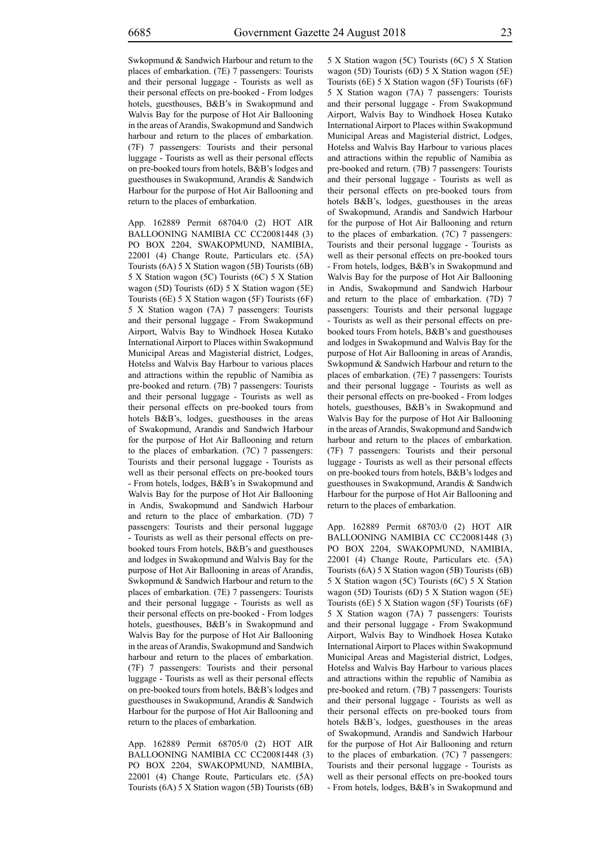Swkopmund & Sandwich Harbour and return to the places of embarkation. (7E) 7 passengers: Tourists and their personal luggage - Tourists as well as their personal effects on pre-booked - From lodges hotels, guesthouses, B&B's in Swakopmund and Walvis Bay for the purpose of Hot Air Ballooning in the areas of Arandis, Swakopmund and Sandwich harbour and return to the places of embarkation. (7F) 7 passengers: Tourists and their personal luggage - Tourists as well as their personal effects on pre-booked tours from hotels, B&B's lodges and guesthouses in Swakopmund, Arandis & Sandwich Harbour for the purpose of Hot Air Ballooning and return to the places of embarkation.

App. 162889 Permit 68704/0 (2) HOT AIR BALLOONING NAMIBIA CC CC20081448 (3) PO BOX 2204, SWAKOPMUND, NAMIBIA, 22001 (4) Change Route, Particulars etc. (5A) Tourists (6A) 5 X Station wagon (5B) Tourists (6B) 5 X Station wagon (5C) Tourists (6C) 5 X Station wagon (5D) Tourists (6D) 5 X Station wagon (5E) Tourists (6E) 5 X Station wagon (5F) Tourists (6F) 5 X Station wagon (7A) 7 passengers: Tourists and their personal luggage - From Swakopmund Airport, Walvis Bay to Windhoek Hosea Kutako International Airport to Places within Swakopmund Municipal Areas and Magisterial district, Lodges, Hotelss and Walvis Bay Harbour to various places and attractions within the republic of Namibia as pre-booked and return. (7B) 7 passengers: Tourists and their personal luggage - Tourists as well as their personal effects on pre-booked tours from hotels B&B's, lodges, guesthouses in the areas of Swakopmund, Arandis and Sandwich Harbour for the purpose of Hot Air Ballooning and return to the places of embarkation. (7C) 7 passengers: Tourists and their personal luggage - Tourists as well as their personal effects on pre-booked tours - From hotels, lodges, B&B's in Swakopmund and Walvis Bay for the purpose of Hot Air Ballooning in Andis, Swakopmund and Sandwich Harbour and return to the place of embarkation. (7D) 7 passengers: Tourists and their personal luggage - Tourists as well as their personal effects on prebooked tours From hotels, B&B's and guesthouses and lodges in Swakopmund and Walvis Bay for the purpose of Hot Air Ballooning in areas of Arandis, Swkopmund & Sandwich Harbour and return to the places of embarkation. (7E) 7 passengers: Tourists and their personal luggage - Tourists as well as their personal effects on pre-booked - From lodges hotels, guesthouses, B&B's in Swakopmund and Walvis Bay for the purpose of Hot Air Ballooning in the areas of Arandis, Swakopmund and Sandwich harbour and return to the places of embarkation. (7F) 7 passengers: Tourists and their personal luggage - Tourists as well as their personal effects on pre-booked tours from hotels, B&B's lodges and guesthouses in Swakopmund, Arandis & Sandwich Harbour for the purpose of Hot Air Ballooning and return to the places of embarkation.

App. 162889 Permit 68705/0 (2) HOT AIR BALLOONING NAMIBIA CC CC20081448 (3) PO BOX 2204, SWAKOPMUND, NAMIBIA, 22001 (4) Change Route, Particulars etc. (5A) Tourists (6A) 5 X Station wagon (5B) Tourists (6B) 5 X Station wagon (5C) Tourists (6C) 5 X Station wagon (5D) Tourists (6D) 5 X Station wagon (5E) Tourists (6E) 5 X Station wagon (5F) Tourists (6F) 5 X Station wagon (7A) 7 passengers: Tourists and their personal luggage - From Swakopmund Airport, Walvis Bay to Windhoek Hosea Kutako International Airport to Places within Swakopmund Municipal Areas and Magisterial district, Lodges, Hotelss and Walvis Bay Harbour to various places and attractions within the republic of Namibia as pre-booked and return. (7B) 7 passengers: Tourists and their personal luggage - Tourists as well as their personal effects on pre-booked tours from hotels B&B's, lodges, guesthouses in the areas of Swakopmund, Arandis and Sandwich Harbour for the purpose of Hot Air Ballooning and return to the places of embarkation. (7C) 7 passengers: Tourists and their personal luggage - Tourists as well as their personal effects on pre-booked tours - From hotels, lodges, B&B's in Swakopmund and Walvis Bay for the purpose of Hot Air Ballooning in Andis, Swakopmund and Sandwich Harbour and return to the place of embarkation. (7D) 7 passengers: Tourists and their personal luggage - Tourists as well as their personal effects on prebooked tours From hotels, B&B's and guesthouses and lodges in Swakopmund and Walvis Bay for the purpose of Hot Air Ballooning in areas of Arandis, Swkopmund & Sandwich Harbour and return to the places of embarkation. (7E) 7 passengers: Tourists and their personal luggage - Tourists as well as their personal effects on pre-booked - From lodges hotels, guesthouses, B&B's in Swakopmund and Walvis Bay for the purpose of Hot Air Ballooning in the areas of Arandis, Swakopmund and Sandwich harbour and return to the places of embarkation. (7F) 7 passengers: Tourists and their personal luggage - Tourists as well as their personal effects on pre-booked tours from hotels, B&B's lodges and guesthouses in Swakopmund, Arandis & Sandwich Harbour for the purpose of Hot Air Ballooning and return to the places of embarkation.

App. 162889 Permit 68703/0 (2) HOT AIR BALLOONING NAMIBIA CC CC20081448 (3) PO BOX 2204, SWAKOPMUND, NAMIBIA, 22001 (4) Change Route, Particulars etc. (5A) Tourists (6A) 5 X Station wagon (5B) Tourists (6B) 5 X Station wagon (5C) Tourists (6C) 5 X Station wagon (5D) Tourists (6D) 5 X Station wagon (5E) Tourists (6E) 5 X Station wagon (5F) Tourists (6F) 5 X Station wagon (7A) 7 passengers: Tourists and their personal luggage - From Swakopmund Airport, Walvis Bay to Windhoek Hosea Kutako International Airport to Places within Swakopmund Municipal Areas and Magisterial district, Lodges, Hotelss and Walvis Bay Harbour to various places and attractions within the republic of Namibia as pre-booked and return. (7B) 7 passengers: Tourists and their personal luggage - Tourists as well as their personal effects on pre-booked tours from hotels B&B's, lodges, guesthouses in the areas of Swakopmund, Arandis and Sandwich Harbour for the purpose of Hot Air Ballooning and return to the places of embarkation. (7C) 7 passengers: Tourists and their personal luggage - Tourists as well as their personal effects on pre-booked tours - From hotels, lodges, B&B's in Swakopmund and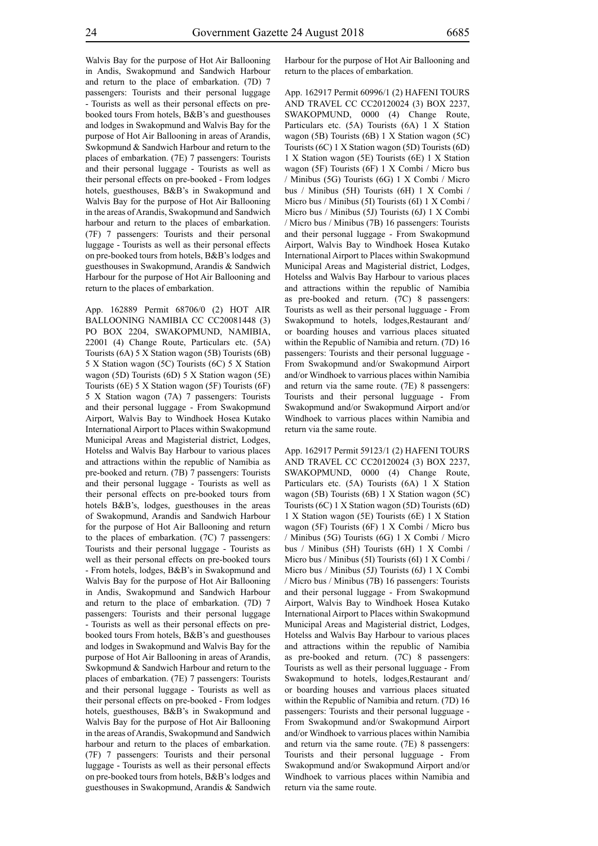Walvis Bay for the purpose of Hot Air Ballooning in Andis, Swakopmund and Sandwich Harbour and return to the place of embarkation. (7D) 7 passengers: Tourists and their personal luggage - Tourists as well as their personal effects on prebooked tours From hotels, B&B's and guesthouses and lodges in Swakopmund and Walvis Bay for the purpose of Hot Air Ballooning in areas of Arandis, Swkopmund & Sandwich Harbour and return to the places of embarkation. (7E) 7 passengers: Tourists and their personal luggage - Tourists as well as their personal effects on pre-booked - From lodges hotels, guesthouses, B&B's in Swakopmund and Walvis Bay for the purpose of Hot Air Ballooning in the areas of Arandis, Swakopmund and Sandwich harbour and return to the places of embarkation. (7F) 7 passengers: Tourists and their personal luggage - Tourists as well as their personal effects on pre-booked tours from hotels, B&B's lodges and guesthouses in Swakopmund, Arandis & Sandwich Harbour for the purpose of Hot Air Ballooning and return to the places of embarkation.

App. 162889 Permit 68706/0 (2) HOT AIR BALLOONING NAMIBIA CC CC20081448 (3) PO BOX 2204, SWAKOPMUND, NAMIBIA, 22001 (4) Change Route, Particulars etc. (5A) Tourists (6A) 5 X Station wagon (5B) Tourists (6B) 5 X Station wagon (5C) Tourists (6C) 5 X Station wagon (5D) Tourists (6D) 5 X Station wagon (5E) Tourists (6E) 5 X Station wagon (5F) Tourists (6F) 5 X Station wagon (7A) 7 passengers: Tourists and their personal luggage - From Swakopmund Airport, Walvis Bay to Windhoek Hosea Kutako International Airport to Places within Swakopmund Municipal Areas and Magisterial district, Lodges, Hotelss and Walvis Bay Harbour to various places and attractions within the republic of Namibia as pre-booked and return. (7B) 7 passengers: Tourists and their personal luggage - Tourists as well as their personal effects on pre-booked tours from hotels B&B's, lodges, guesthouses in the areas of Swakopmund, Arandis and Sandwich Harbour for the purpose of Hot Air Ballooning and return to the places of embarkation. (7C) 7 passengers: Tourists and their personal luggage - Tourists as well as their personal effects on pre-booked tours - From hotels, lodges, B&B's in Swakopmund and Walvis Bay for the purpose of Hot Air Ballooning in Andis, Swakopmund and Sandwich Harbour and return to the place of embarkation. (7D) 7 passengers: Tourists and their personal luggage - Tourists as well as their personal effects on prebooked tours From hotels, B&B's and guesthouses and lodges in Swakopmund and Walvis Bay for the purpose of Hot Air Ballooning in areas of Arandis, Swkopmund & Sandwich Harbour and return to the places of embarkation. (7E) 7 passengers: Tourists and their personal luggage - Tourists as well as their personal effects on pre-booked - From lodges hotels, guesthouses, B&B's in Swakopmund and Walvis Bay for the purpose of Hot Air Ballooning in the areas of Arandis, Swakopmund and Sandwich harbour and return to the places of embarkation. (7F) 7 passengers: Tourists and their personal luggage - Tourists as well as their personal effects on pre-booked tours from hotels, B&B's lodges and guesthouses in Swakopmund, Arandis & Sandwich Harbour for the purpose of Hot Air Ballooning and return to the places of embarkation.

App. 162917 Permit 60996/1 (2) HAFENI TOURS AND TRAVEL CC CC20120024 (3) BOX 2237, SWAKOPMUND, 0000 (4) Change Route, Particulars etc. (5A) Tourists (6A) 1 X Station wagon (5B) Tourists (6B) 1 X Station wagon (5C) Tourists (6C) 1 X Station wagon (5D) Tourists (6D) 1 X Station wagon (5E) Tourists (6E) 1 X Station wagon (5F) Tourists (6F) 1 X Combi / Micro bus / Minibus (5G) Tourists (6G) 1 X Combi / Micro bus / Minibus (5H) Tourists (6H) 1 X Combi / Micro bus / Minibus (5I) Tourists (6I) 1 X Combi / Micro bus / Minibus (5J) Tourists (6J) 1 X Combi / Micro bus / Minibus (7B) 16 passengers: Tourists and their personal luggage - From Swakopmund Airport, Walvis Bay to Windhoek Hosea Kutako International Airport to Places within Swakopmund Municipal Areas and Magisterial district, Lodges, Hotelss and Walvis Bay Harbour to various places and attractions within the republic of Namibia as pre-booked and return. (7C) 8 passengers: Tourists as well as their personal lugguage - From Swakopmund to hotels, lodges,Restaurant and/ or boarding houses and varrious places situated within the Republic of Namibia and return. (7D) 16 passengers: Tourists and their personal lugguage - From Swakopmund and/or Swakopmund Airport and/or Windhoek to varrious places within Namibia and return via the same route. (7E) 8 passengers: Tourists and their personal lugguage - From Swakopmund and/or Swakopmund Airport and/or Windhoek to varrious places within Namibia and return via the same route.

App. 162917 Permit 59123/1 (2) HAFENI TOURS AND TRAVEL CC CC20120024 (3) BOX 2237, SWAKOPMUND, 0000 (4) Change Route, Particulars etc. (5A) Tourists (6A) 1 X Station wagon (5B) Tourists (6B) 1 X Station wagon (5C) Tourists (6C) 1 X Station wagon (5D) Tourists (6D) 1 X Station wagon (5E) Tourists (6E) 1 X Station wagon (5F) Tourists (6F) 1 X Combi / Micro bus / Minibus (5G) Tourists (6G) 1 X Combi / Micro bus / Minibus (5H) Tourists (6H) 1 X Combi / Micro bus / Minibus (5I) Tourists (6I) 1 X Combi / Micro bus / Minibus (5J) Tourists (6J) 1 X Combi / Micro bus / Minibus (7B) 16 passengers: Tourists and their personal luggage - From Swakopmund Airport, Walvis Bay to Windhoek Hosea Kutako International Airport to Places within Swakopmund Municipal Areas and Magisterial district, Lodges, Hotelss and Walvis Bay Harbour to various places and attractions within the republic of Namibia as pre-booked and return. (7C) 8 passengers: Tourists as well as their personal lugguage - From Swakopmund to hotels, lodges,Restaurant and/ or boarding houses and varrious places situated within the Republic of Namibia and return. (7D) 16 passengers: Tourists and their personal lugguage - From Swakopmund and/or Swakopmund Airport and/or Windhoek to varrious places within Namibia and return via the same route. (7E) 8 passengers: Tourists and their personal lugguage - From Swakopmund and/or Swakopmund Airport and/or Windhoek to varrious places within Namibia and return via the same route.